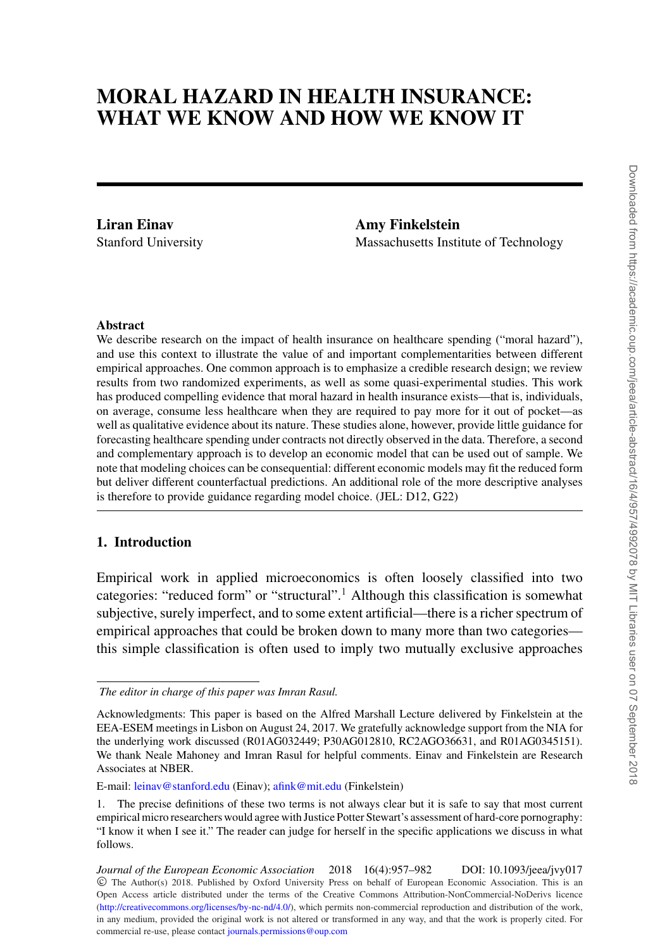# **MORAL HAZARD IN HEALTH INSURANCE: WHAT WE KNOW AND HOW WE KNOW IT**

**Liran Einav** Stanford University **Amy Finkelstein** Massachusetts Institute of Technology

## **Abstract**

We describe research on the impact of health insurance on healthcare spending ("moral hazard"), and use this context to illustrate the value of and important complementarities between different empirical approaches. One common approach is to emphasize a credible research design; we review results from two randomized experiments, as well as some quasi-experimental studies. This work has produced compelling evidence that moral hazard in health insurance exists—that is, individuals, on average, consume less healthcare when they are required to pay more for it out of pocket—as well as qualitative evidence about its nature. These studies alone, however, provide little guidance for forecasting healthcare spending under contracts not directly observed in the data. Therefore, a second and complementary approach is to develop an economic model that can be used out of sample. We note that modeling choices can be consequential: different economic models may fit the reduced form but deliver different counterfactual predictions. An additional role of the more descriptive analyses is therefore to provide guidance regarding model choice. (JEL: D12, G22)

# **1. Introduction**

Empirical work in applied microeconomics is often loosely classified into two categories: "reduced form" or "structural".<sup>1</sup> Although this classification is somewhat subjective, surely imperfect, and to some extent artificial—there is a richer spectrum of empirical approaches that could be broken down to many more than two categories this simple classification is often used to imply two mutually exclusive approaches

*The editor in charge of this paper was Imran Rasul.*

Acknowledgments: This paper is based on the Alfred Marshall Lecture delivered by Finkelstein at the EEA-ESEM meetings in Lisbon on August 24, 2017. We gratefully acknowledge support from the NIA for the underlying work discussed (R01AG032449; P30AG012810, RC2AGO36631, and R01AG0345151). We thank Neale Mahoney and Imran Rasul for helpful comments. Einav and Finkelstein are Research Associates at NBER.

E-mail: [leinav@stanford.edu](mailto:leinav@stanford.edu) (Einav); [afink@mit.edu](mailto:afink@mit.edu) (Finkelstein)

<sup>1.</sup> The precise definitions of these two terms is not always clear but it is safe to say that most current empirical micro researchers would agree with Justice Potter Stewart's assessment of hard-core pornography: "I know it when I see it." The reader can judge for herself in the specific applications we discuss in what follows.

*Journal of the European Economic Association* 2018 16(4):957–982 DOI: 10.1093/jeea/jvy017 © The Author(s) 2018. Published by Oxford University Press on behalf of European Economic Association. This is an Open Access article distributed under the terms of the Creative Commons Attribution-NonCommercial-NoDerivs licence [\(http://creativecommons.org/licenses/by-nc-nd/4.0/\)](http://creativecommons.org/licenses/by-nc-nd/4.0/), which permits non-commercial reproduction and distribution of the work, in any medium, provided the original work is not altered or transformed in any way, and that the work is properly cited. For commercial re-use, please contact [journals.permissions@oup.com](mailto:journals.permissions@oup.com)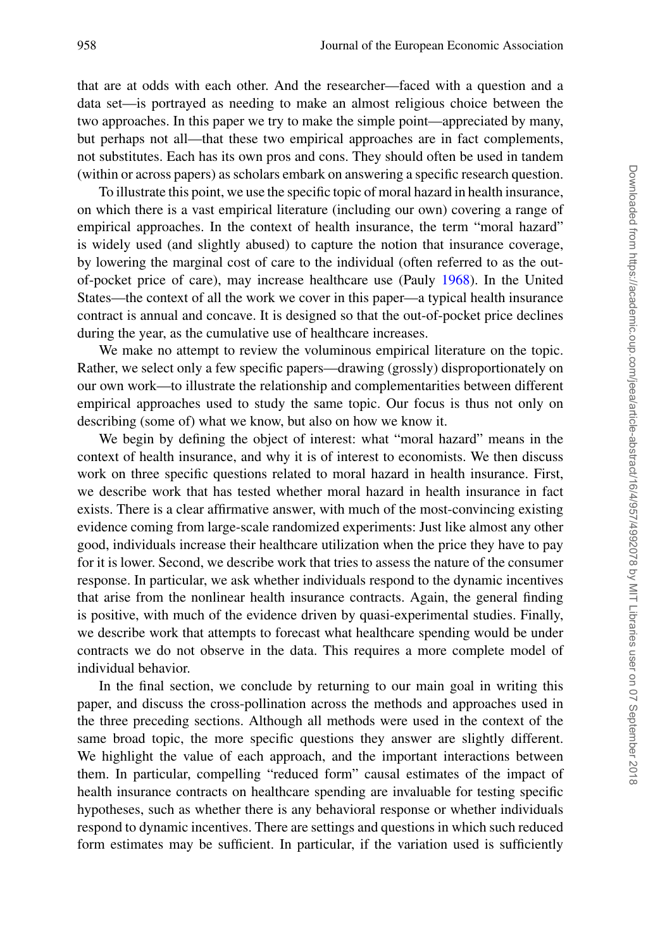that are at odds with each other. And the researcher—faced with a question and a data set—is portrayed as needing to make an almost religious choice between the two approaches. In this paper we try to make the simple point—appreciated by many, but perhaps not all—that these two empirical approaches are in fact complements, not substitutes. Each has its own pros and cons. They should often be used in tandem (within or across papers) as scholars embark on answering a specific research question.

To illustrate this point, we use the specific topic of moral hazard in health insurance, on which there is a vast empirical literature (including our own) covering a range of empirical approaches. In the context of health insurance, the term "moral hazard" is widely used (and slightly abused) to capture the notion that insurance coverage, by lowering the marginal cost of care to the individual (often referred to as the outof-pocket price of care), may increase healthcare use (Pauly [1968\)](#page-25-0). In the United States—the context of all the work we cover in this paper—a typical health insurance contract is annual and concave. It is designed so that the out-of-pocket price declines during the year, as the cumulative use of healthcare increases.

We make no attempt to review the voluminous empirical literature on the topic. Rather, we select only a few specific papers—drawing (grossly) disproportionately on our own work—to illustrate the relationship and complementarities between different empirical approaches used to study the same topic. Our focus is thus not only on describing (some of) what we know, but also on how we know it.

We begin by defining the object of interest: what "moral hazard" means in the context of health insurance, and why it is of interest to economists. We then discuss work on three specific questions related to moral hazard in health insurance. First, we describe work that has tested whether moral hazard in health insurance in fact exists. There is a clear affirmative answer, with much of the most-convincing existing evidence coming from large-scale randomized experiments: Just like almost any other good, individuals increase their healthcare utilization when the price they have to pay for it is lower. Second, we describe work that tries to assess the nature of the consumer response. In particular, we ask whether individuals respond to the dynamic incentives that arise from the nonlinear health insurance contracts. Again, the general finding is positive, with much of the evidence driven by quasi-experimental studies. Finally, we describe work that attempts to forecast what healthcare spending would be under contracts we do not observe in the data. This requires a more complete model of individual behavior.

In the final section, we conclude by returning to our main goal in writing this paper, and discuss the cross-pollination across the methods and approaches used in the three preceding sections. Although all methods were used in the context of the same broad topic, the more specific questions they answer are slightly different. We highlight the value of each approach, and the important interactions between them. In particular, compelling "reduced form" causal estimates of the impact of health insurance contracts on healthcare spending are invaluable for testing specific hypotheses, such as whether there is any behavioral response or whether individuals respond to dynamic incentives. There are settings and questions in which such reduced form estimates may be sufficient. In particular, if the variation used is sufficiently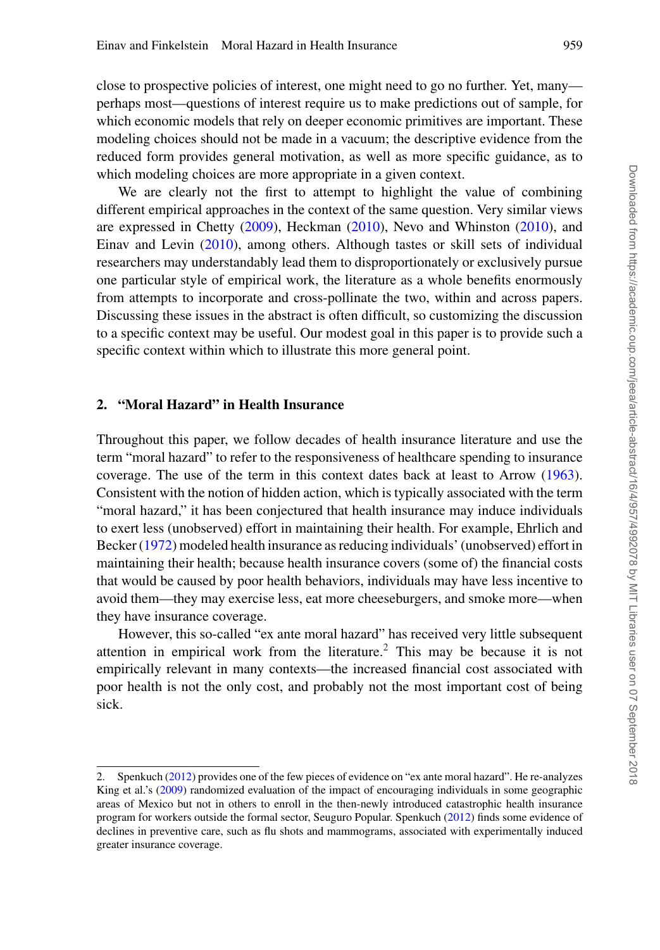close to prospective policies of interest, one might need to go no further. Yet, many perhaps most—questions of interest require us to make predictions out of sample, for which economic models that rely on deeper economic primitives are important. These modeling choices should not be made in a vacuum; the descriptive evidence from the reduced form provides general motivation, as well as more specific guidance, as to which modeling choices are more appropriate in a given context.

We are clearly not the first to attempt to highlight the value of combining different empirical approaches in the context of the same question. Very similar views are expressed in Chetty [\(2009\)](#page-24-0), Heckman [\(2010\)](#page-25-1), Nevo and Whinston [\(2010\)](#page-25-2), and Einav and Levin [\(2010\)](#page-24-1), among others. Although tastes or skill sets of individual researchers may understandably lead them to disproportionately or exclusively pursue one particular style of empirical work, the literature as a whole benefits enormously from attempts to incorporate and cross-pollinate the two, within and across papers. Discussing these issues in the abstract is often difficult, so customizing the discussion to a specific context may be useful. Our modest goal in this paper is to provide such a specific context within which to illustrate this more general point.

# **2. "Moral Hazard" in Health Insurance**

Throughout this paper, we follow decades of health insurance literature and use the term "moral hazard" to refer to the responsiveness of healthcare spending to insurance coverage. The use of the term in this context dates back at least to Arrow [\(1963\)](#page-23-0). Consistent with the notion of hidden action, which is typically associated with the term "moral hazard," it has been conjectured that health insurance may induce individuals to exert less (unobserved) effort in maintaining their health. For example, Ehrlich and Becker [\(1972\)](#page-24-2) modeled health insurance as reducing individuals' (unobserved) effort in maintaining their health; because health insurance covers (some of) the financial costs that would be caused by poor health behaviors, individuals may have less incentive to avoid them—they may exercise less, eat more cheeseburgers, and smoke more—when they have insurance coverage.

However, this so-called "ex ante moral hazard" has received very little subsequent attention in empirical work from the literature.<sup>2</sup> This may be because it is not empirically relevant in many contexts—the increased financial cost associated with poor health is not the only cost, and probably not the most important cost of being sick.

<sup>2.</sup> Spenkuch [\(2012\)](#page-25-3) provides one of the few pieces of evidence on "ex ante moral hazard". He re-analyzes King et al.'s [\(2009\)](#page-25-4) randomized evaluation of the impact of encouraging individuals in some geographic areas of Mexico but not in others to enroll in the then-newly introduced catastrophic health insurance program for workers outside the formal sector, Seuguro Popular. Spenkuch [\(2012\)](#page-25-3) finds some evidence of declines in preventive care, such as flu shots and mammograms, associated with experimentally induced greater insurance coverage.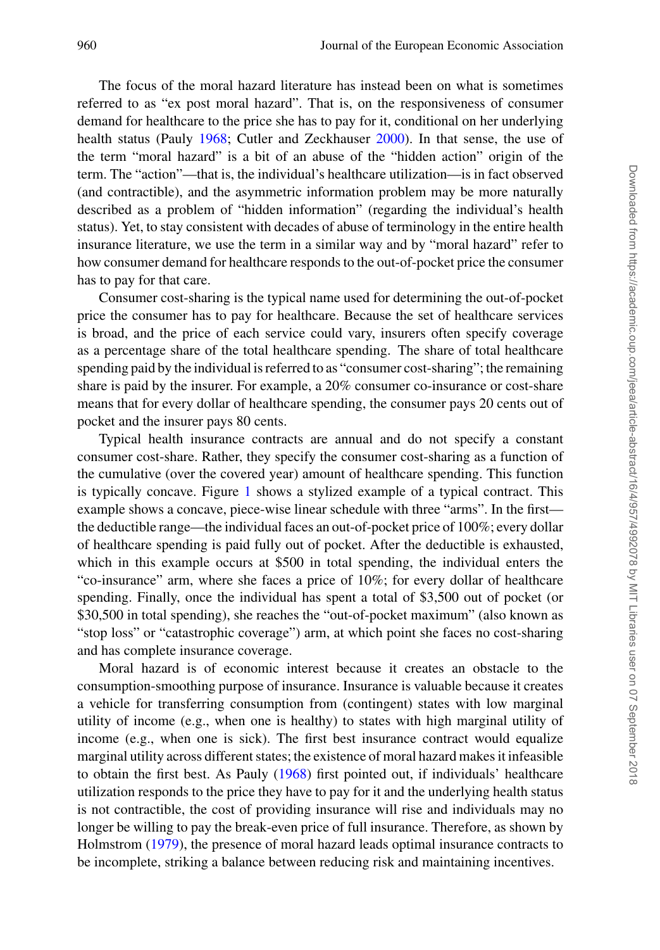The focus of the moral hazard literature has instead been on what is sometimes referred to as "ex post moral hazard". That is, on the responsiveness of consumer demand for healthcare to the price she has to pay for it, conditional on her underlying health status (Pauly [1968;](#page-25-0) Cutler and Zeckhauser [2000\)](#page-24-3). In that sense, the use of the term "moral hazard" is a bit of an abuse of the "hidden action" origin of the term. The "action"—that is, the individual's healthcare utilization—is in fact observed (and contractible), and the asymmetric information problem may be more naturally described as a problem of "hidden information" (regarding the individual's health status). Yet, to stay consistent with decades of abuse of terminology in the entire health insurance literature, we use the term in a similar way and by "moral hazard" refer to how consumer demand for healthcare responds to the out-of-pocket price the consumer has to pay for that care.

Consumer cost-sharing is the typical name used for determining the out-of-pocket price the consumer has to pay for healthcare. Because the set of healthcare services is broad, and the price of each service could vary, insurers often specify coverage as a percentage share of the total healthcare spending. The share of total healthcare spending paid by the individual is referred to as "consumer cost-sharing"; the remaining share is paid by the insurer. For example, a 20% consumer co-insurance or cost-share means that for every dollar of healthcare spending, the consumer pays 20 cents out of pocket and the insurer pays 80 cents.

Typical health insurance contracts are annual and do not specify a constant consumer cost-share. Rather, they specify the consumer cost-sharing as a function of the cumulative (over the covered year) amount of healthcare spending. This function is typically concave. Figure [1](#page-4-0) shows a stylized example of a typical contract. This example shows a concave, piece-wise linear schedule with three "arms". In the first the deductible range—the individual faces an out-of-pocket price of 100%; every dollar of healthcare spending is paid fully out of pocket. After the deductible is exhausted, which in this example occurs at \$500 in total spending, the individual enters the "co-insurance" arm, where she faces a price of 10%; for every dollar of healthcare spending. Finally, once the individual has spent a total of \$3,500 out of pocket (or \$30,500 in total spending), she reaches the "out-of-pocket maximum" (also known as "stop loss" or "catastrophic coverage") arm, at which point she faces no cost-sharing and has complete insurance coverage.

Moral hazard is of economic interest because it creates an obstacle to the consumption-smoothing purpose of insurance. Insurance is valuable because it creates a vehicle for transferring consumption from (contingent) states with low marginal utility of income (e.g., when one is healthy) to states with high marginal utility of income (e.g., when one is sick). The first best insurance contract would equalize marginal utility across different states; the existence of moral hazard makes it infeasible to obtain the first best. As Pauly [\(1968\)](#page-25-0) first pointed out, if individuals' healthcare utilization responds to the price they have to pay for it and the underlying health status is not contractible, the cost of providing insurance will rise and individuals may no longer be willing to pay the break-even price of full insurance. Therefore, as shown by Holmstrom [\(1979\)](#page-25-5), the presence of moral hazard leads optimal insurance contracts to be incomplete, striking a balance between reducing risk and maintaining incentives.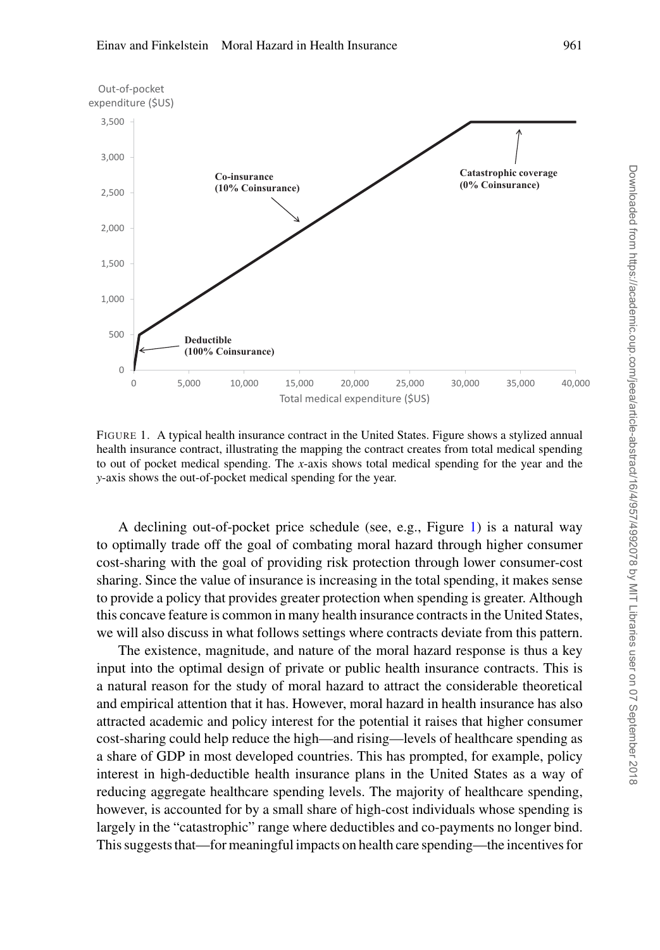<span id="page-4-0"></span>

FIGURE 1. A typical health insurance contract in the United States. Figure shows a stylized annual health insurance contract, illustrating the mapping the contract creates from total medical spending to out of pocket medical spending. The *x*-axis shows total medical spending for the year and the *y*-axis shows the out-of-pocket medical spending for the year.

A declining out-of-pocket price schedule (see, e.g., Figure [1\)](#page-4-0) is a natural way to optimally trade off the goal of combating moral hazard through higher consumer cost-sharing with the goal of providing risk protection through lower consumer-cost sharing. Since the value of insurance is increasing in the total spending, it makes sense to provide a policy that provides greater protection when spending is greater. Although this concave feature is common in many health insurance contracts in the United States, we will also discuss in what follows settings where contracts deviate from this pattern.

The existence, magnitude, and nature of the moral hazard response is thus a key input into the optimal design of private or public health insurance contracts. This is a natural reason for the study of moral hazard to attract the considerable theoretical and empirical attention that it has. However, moral hazard in health insurance has also attracted academic and policy interest for the potential it raises that higher consumer cost-sharing could help reduce the high—and rising—levels of healthcare spending as a share of GDP in most developed countries. This has prompted, for example, policy interest in high-deductible health insurance plans in the United States as a way of reducing aggregate healthcare spending levels. The majority of healthcare spending, however, is accounted for by a small share of high-cost individuals whose spending is largely in the "catastrophic" range where deductibles and co-payments no longer bind. This suggests that—for meaningful impacts on health care spending—the incentives for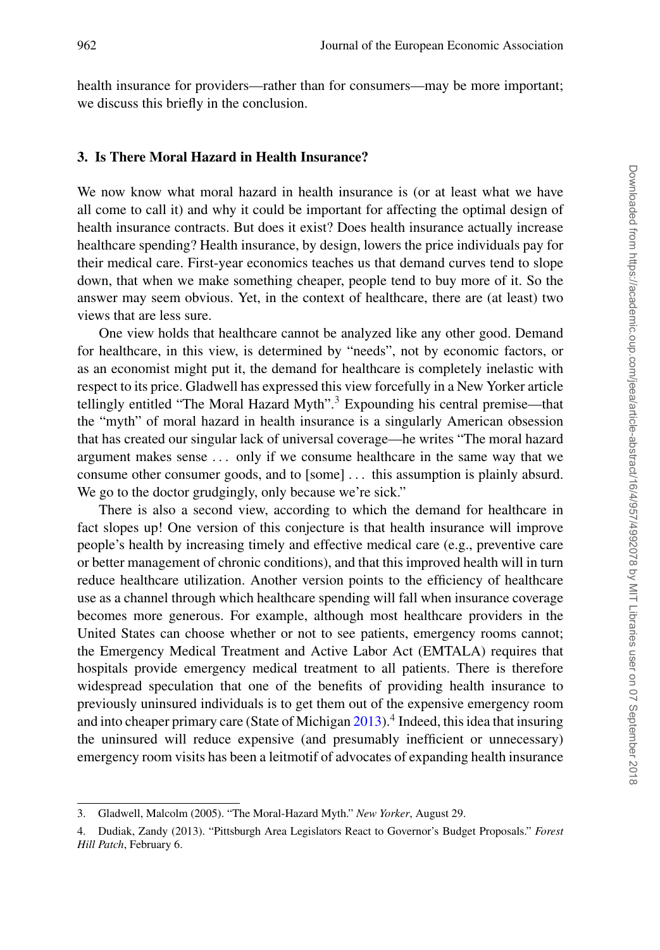health insurance for providers—rather than for consumers—may be more important; we discuss this briefly in the conclusion.

## **3. Is There Moral Hazard in Health Insurance?**

We now know what moral hazard in health insurance is (or at least what we have all come to call it) and why it could be important for affecting the optimal design of health insurance contracts. But does it exist? Does health insurance actually increase healthcare spending? Health insurance, by design, lowers the price individuals pay for their medical care. First-year economics teaches us that demand curves tend to slope down, that when we make something cheaper, people tend to buy more of it. So the answer may seem obvious. Yet, in the context of healthcare, there are (at least) two views that are less sure.

One view holds that healthcare cannot be analyzed like any other good. Demand for healthcare, in this view, is determined by "needs", not by economic factors, or as an economist might put it, the demand for healthcare is completely inelastic with respect to its price. Gladwell has expressed this view forcefully in a New Yorker article tellingly entitled "The Moral Hazard Myth".<sup>3</sup> Expounding his central premise—that the "myth" of moral hazard in health insurance is a singularly American obsession that has created our singular lack of universal coverage—he writes "The moral hazard argument makes sense . . . only if we consume healthcare in the same way that we consume other consumer goods, and to [some] . . . this assumption is plainly absurd. We go to the doctor grudgingly, only because we're sick."

There is also a second view, according to which the demand for healthcare in fact slopes up! One version of this conjecture is that health insurance will improve people's health by increasing timely and effective medical care (e.g., preventive care or better management of chronic conditions), and that this improved health will in turn reduce healthcare utilization. Another version points to the efficiency of healthcare use as a channel through which healthcare spending will fall when insurance coverage becomes more generous. For example, although most healthcare providers in the United States can choose whether or not to see patients, emergency rooms cannot; the Emergency Medical Treatment and Active Labor Act (EMTALA) requires that hospitals provide emergency medical treatment to all patients. There is therefore widespread speculation that one of the benefits of providing health insurance to previously uninsured individuals is to get them out of the expensive emergency room and into cheaper primary care (State of Michigan  $2013$ ).<sup>4</sup> Indeed, this idea that insuring the uninsured will reduce expensive (and presumably inefficient or unnecessary) emergency room visits has been a leitmotif of advocates of expanding health insurance

<sup>3.</sup> Gladwell, Malcolm (2005). "The Moral-Hazard Myth." *New Yorker*, August 29.

<sup>4.</sup> Dudiak, Zandy (2013). "Pittsburgh Area Legislators React to Governor's Budget Proposals." *Forest Hill Patch*, February 6.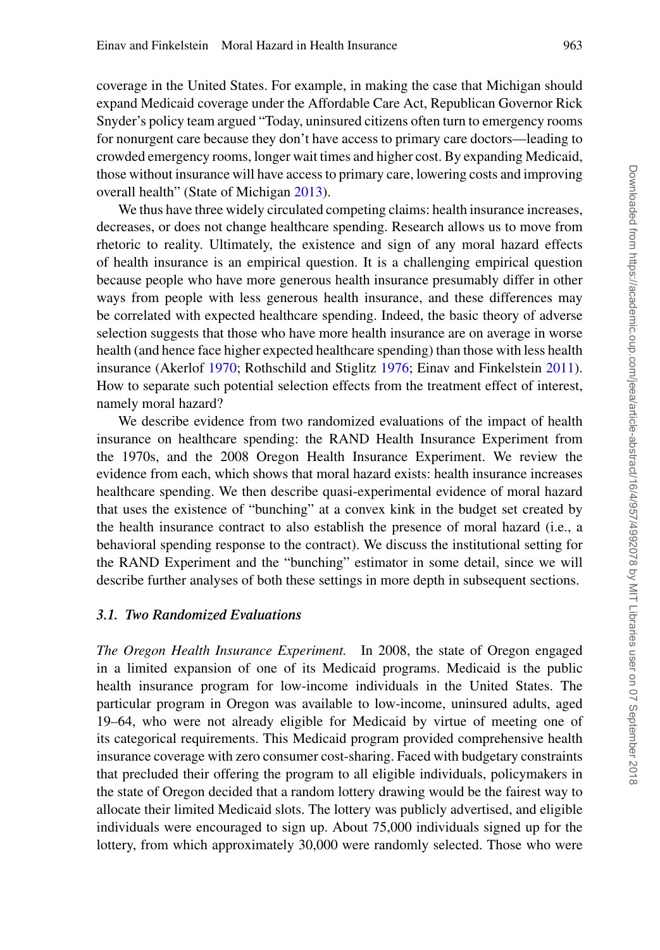coverage in the United States. For example, in making the case that Michigan should expand Medicaid coverage under the Affordable Care Act, Republican Governor Rick Snyder's policy team argued "Today, uninsured citizens often turn to emergency rooms for nonurgent care because they don't have access to primary care doctors—leading to crowded emergency rooms, longer wait times and higher cost. By expanding Medicaid, those without insurance will have access to primary care, lowering costs and improving overall health" (State of Michigan [2013\)](#page-25-6).

We thus have three widely circulated competing claims: health insurance increases, decreases, or does not change healthcare spending. Research allows us to move from rhetoric to reality. Ultimately, the existence and sign of any moral hazard effects of health insurance is an empirical question. It is a challenging empirical question because people who have more generous health insurance presumably differ in other ways from people with less generous health insurance, and these differences may be correlated with expected healthcare spending. Indeed, the basic theory of adverse selection suggests that those who have more health insurance are on average in worse health (and hence face higher expected healthcare spending) than those with less health insurance (Akerlof [1970;](#page-23-1) Rothschild and Stiglitz [1976;](#page-25-7) Einav and Finkelstein [2011\)](#page-24-4). How to separate such potential selection effects from the treatment effect of interest, namely moral hazard?

We describe evidence from two randomized evaluations of the impact of health insurance on healthcare spending: the RAND Health Insurance Experiment from the 1970s, and the 2008 Oregon Health Insurance Experiment. We review the evidence from each, which shows that moral hazard exists: health insurance increases healthcare spending. We then describe quasi-experimental evidence of moral hazard that uses the existence of "bunching" at a convex kink in the budget set created by the health insurance contract to also establish the presence of moral hazard (i.e., a behavioral spending response to the contract). We discuss the institutional setting for the RAND Experiment and the "bunching" estimator in some detail, since we will describe further analyses of both these settings in more depth in subsequent sections.

# *3.1. Two Randomized Evaluations*

*The Oregon Health Insurance Experiment.* In 2008, the state of Oregon engaged in a limited expansion of one of its Medicaid programs. Medicaid is the public health insurance program for low-income individuals in the United States. The particular program in Oregon was available to low-income, uninsured adults, aged 19–64, who were not already eligible for Medicaid by virtue of meeting one of its categorical requirements. This Medicaid program provided comprehensive health insurance coverage with zero consumer cost-sharing. Faced with budgetary constraints that precluded their offering the program to all eligible individuals, policymakers in the state of Oregon decided that a random lottery drawing would be the fairest way to allocate their limited Medicaid slots. The lottery was publicly advertised, and eligible individuals were encouraged to sign up. About 75,000 individuals signed up for the lottery, from which approximately 30,000 were randomly selected. Those who were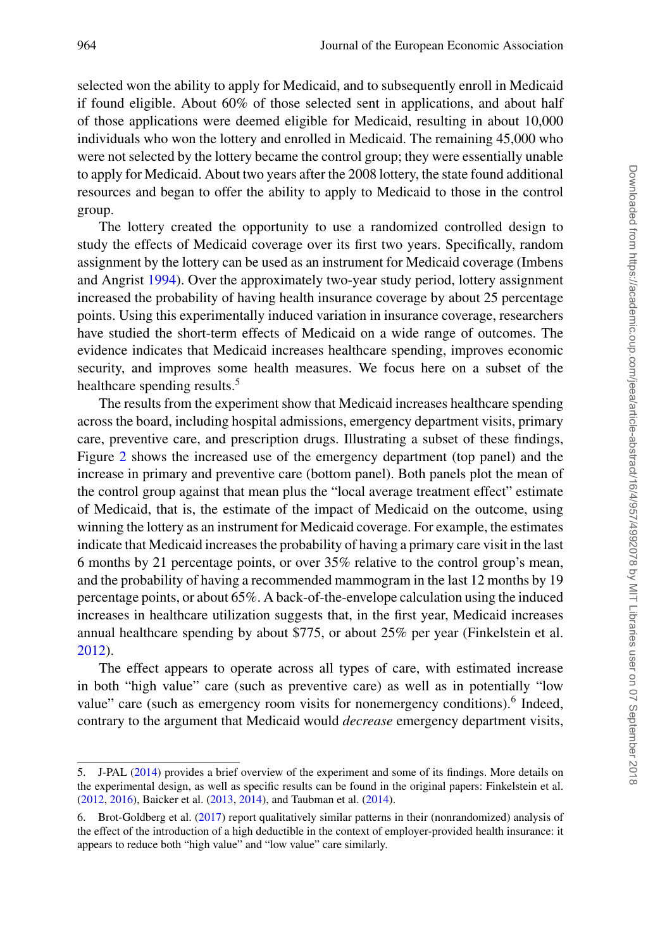selected won the ability to apply for Medicaid, and to subsequently enroll in Medicaid if found eligible. About 60% of those selected sent in applications, and about half of those applications were deemed eligible for Medicaid, resulting in about 10,000 individuals who won the lottery and enrolled in Medicaid. The remaining 45,000 who were not selected by the lottery became the control group; they were essentially unable to apply for Medicaid. About two years after the 2008 lottery, the state found additional resources and began to offer the ability to apply to Medicaid to those in the control group.

The lottery created the opportunity to use a randomized controlled design to study the effects of Medicaid coverage over its first two years. Specifically, random assignment by the lottery can be used as an instrument for Medicaid coverage (Imbens and Angrist [1994\)](#page-25-8). Over the approximately two-year study period, lottery assignment increased the probability of having health insurance coverage by about 25 percentage points. Using this experimentally induced variation in insurance coverage, researchers have studied the short-term effects of Medicaid on a wide range of outcomes. The evidence indicates that Medicaid increases healthcare spending, improves economic security, and improves some health measures. We focus here on a subset of the healthcare spending results.<sup>5</sup>

The results from the experiment show that Medicaid increases healthcare spending across the board, including hospital admissions, emergency department visits, primary care, preventive care, and prescription drugs. Illustrating a subset of these findings, Figure [2](#page-8-0) shows the increased use of the emergency department (top panel) and the increase in primary and preventive care (bottom panel). Both panels plot the mean of the control group against that mean plus the "local average treatment effect" estimate of Medicaid, that is, the estimate of the impact of Medicaid on the outcome, using winning the lottery as an instrument for Medicaid coverage. For example, the estimates indicate that Medicaid increases the probability of having a primary care visit in the last 6 months by 21 percentage points, or over 35% relative to the control group's mean, and the probability of having a recommended mammogram in the last 12 months by 19 percentage points, or about 65%. A back-of-the-envelope calculation using the induced increases in healthcare utilization suggests that, in the first year, Medicaid increases annual healthcare spending by about \$775, or about 25% per year (Finkelstein et al. [2012\)](#page-24-5).

The effect appears to operate across all types of care, with estimated increase in both "high value" care (such as preventive care) as well as in potentially "low value" care (such as emergency room visits for nonemergency conditions).<sup>6</sup> Indeed, contrary to the argument that Medicaid would *decrease* emergency department visits,

<sup>5.</sup> J-PAL [\(2014\)](#page-25-9) provides a brief overview of the experiment and some of its findings. More details on the experimental design, as well as specific results can be found in the original papers: Finkelstein et al. [\(2012,](#page-24-5) [2016\)](#page-25-10), Baicker et al. [\(2013,](#page-23-2) [2014\)](#page-23-3), and Taubman et al. [\(2014\)](#page-25-11).

<sup>6.</sup> Brot-Goldberg et al. [\(2017\)](#page-23-4) report qualitatively similar patterns in their (nonrandomized) analysis of the effect of the introduction of a high deductible in the context of employer-provided health insurance: it appears to reduce both "high value" and "low value" care similarly.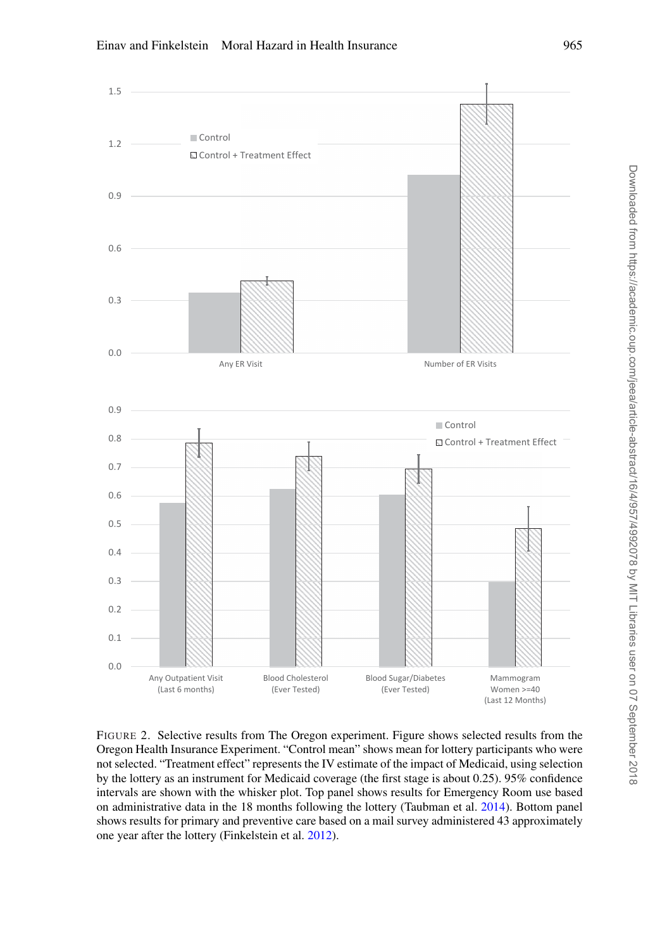<span id="page-8-0"></span>

FIGURE 2. Selective results from The Oregon experiment. Figure shows selected results from the Oregon Health Insurance Experiment. "Control mean" shows mean for lottery participants who were not selected. "Treatment effect" represents the IV estimate of the impact of Medicaid, using selection by the lottery as an instrument for Medicaid coverage (the first stage is about 0.25). 95% confidence intervals are shown with the whisker plot. Top panel shows results for Emergency Room use based on administrative data in the 18 months following the lottery (Taubman et al. [2014\)](#page-25-11). Bottom panel shows results for primary and preventive care based on a mail survey administered 43 approximately one year after the lottery (Finkelstein et al. [2012\)](#page-24-5).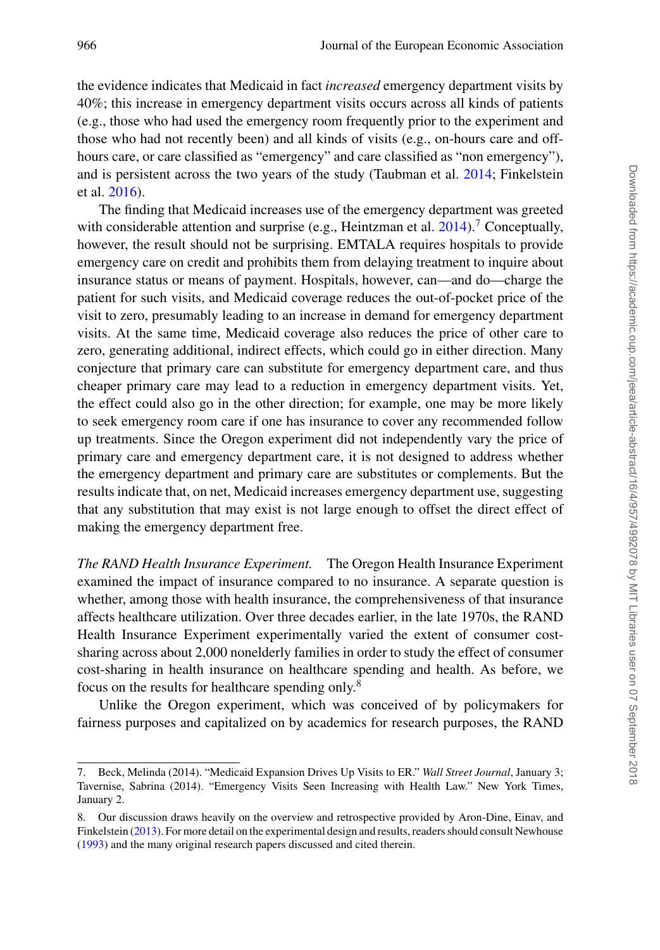the evidence indicates that Medicaid in fact *increased* emergency department visits by 40%; this increase in emergency department visits occurs across all kinds of patients (e.g., those who had used the emergency room frequently prior to the experiment and those who had not recently been) and all kinds of visits (e.g., on-hours care and offhours care, or care classified as "emergency" and care classified as "non emergency"), and is persistent across the two years of the study (Taubman et al. [2014;](#page-25-11) Finkelstein et al. [2016\)](#page-25-10).

The finding that Medicaid increases use of the emergency department was greeted with considerable attention and surprise (e.g., Heintzman et al.  $2014$ ).<sup>7</sup> Conceptually, however, the result should not be surprising. EMTALA requires hospitals to provide emergency care on credit and prohibits them from delaying treatment to inquire about insurance status or means of payment. Hospitals, however, can—and do—charge the patient for such visits, and Medicaid coverage reduces the out-of-pocket price of the visit to zero, presumably leading to an increase in demand for emergency department visits. At the same time, Medicaid coverage also reduces the price of other care to zero, generating additional, indirect effects, which could go in either direction. Many conjecture that primary care can substitute for emergency department care, and thus cheaper primary care may lead to a reduction in emergency department visits. Yet, the effect could also go in the other direction; for example, one may be more likely to seek emergency room care if one has insurance to cover any recommended follow up treatments. Since the Oregon experiment did not independently vary the price of primary care and emergency department care, it is not designed to address whether the emergency department and primary care are substitutes or complements. But the results indicate that, on net, Medicaid increases emergency department use, suggesting that any substitution that may exist is not large enough to offset the direct effect of making the emergency department free.

*The RAND Health Insurance Experiment.* The Oregon Health Insurance Experiment examined the impact of insurance compared to no insurance. A separate question is whether, among those with health insurance, the comprehensiveness of that insurance affects healthcare utilization. Over three decades earlier, in the late 1970s, the RAND Health Insurance Experiment experimentally varied the extent of consumer costsharing across about 2,000 nonelderly families in order to study the effect of consumer cost-sharing in health insurance on healthcare spending and health. As before, we focus on the results for healthcare spending only.<sup>8</sup>

Unlike the Oregon experiment, which was conceived of by policymakers for fairness purposes and capitalized on by academics for research purposes, the RAND

<sup>7.</sup> Beck, Melinda (2014). "Medicaid Expansion Drives Up Visits to ER." *Wall Street Journal*, January 3; Tavernise, Sabrina (2014). "Emergency Visits Seen Increasing with Health Law." New York Times, January 2.

<sup>8.</sup> Our discussion draws heavily on the overview and retrospective provided by Aron-Dine, Einav, and Finkelstein [\(2013\)](#page-23-5). For more detail on the experimental design and results, readers should consult Newhouse [\(1993\)](#page-25-13) and the many original research papers discussed and cited therein.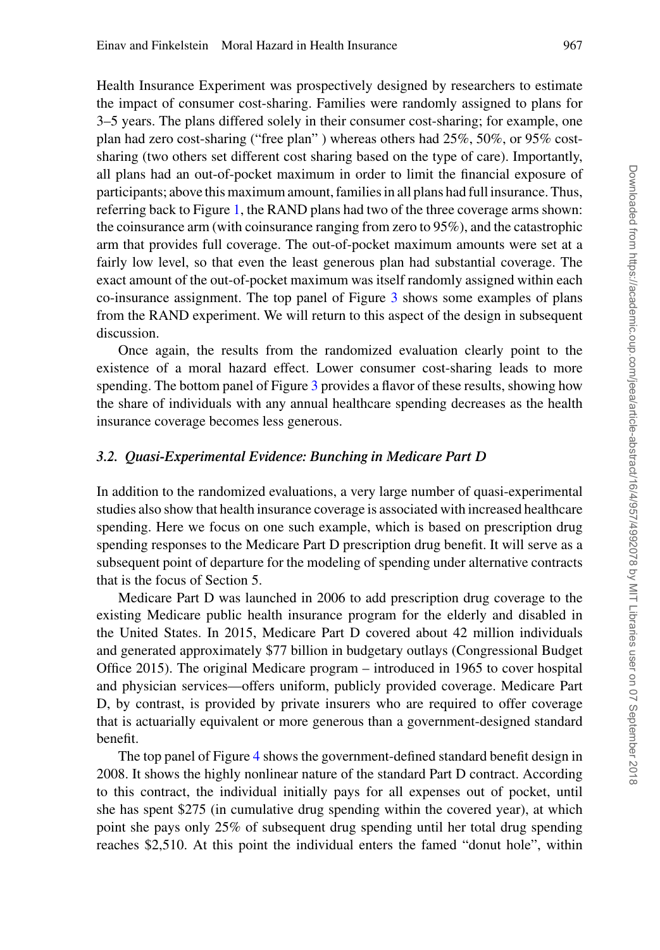Health Insurance Experiment was prospectively designed by researchers to estimate the impact of consumer cost-sharing. Families were randomly assigned to plans for 3–5 years. The plans differed solely in their consumer cost-sharing; for example, one plan had zero cost-sharing ("free plan" ) whereas others had 25%, 50%, or 95% costsharing (two others set different cost sharing based on the type of care). Importantly, all plans had an out-of-pocket maximum in order to limit the financial exposure of participants; above this maximum amount, families in all plans had full insurance. Thus, referring back to Figure [1,](#page-4-0) the RAND plans had two of the three coverage arms shown: the coinsurance arm (with coinsurance ranging from zero to 95%), and the catastrophic arm that provides full coverage. The out-of-pocket maximum amounts were set at a fairly low level, so that even the least generous plan had substantial coverage. The exact amount of the out-of-pocket maximum was itself randomly assigned within each co-insurance assignment. The top panel of Figure [3](#page-11-0) shows some examples of plans from the RAND experiment. We will return to this aspect of the design in subsequent discussion.

Once again, the results from the randomized evaluation clearly point to the existence of a moral hazard effect. Lower consumer cost-sharing leads to more spending. The bottom panel of Figure [3](#page-11-0) provides a flavor of these results, showing how the share of individuals with any annual healthcare spending decreases as the health insurance coverage becomes less generous.

# *3.2. Quasi-Experimental Evidence: Bunching in Medicare Part D*

In addition to the randomized evaluations, a very large number of quasi-experimental studies also show that health insurance coverage is associated with increased healthcare spending. Here we focus on one such example, which is based on prescription drug spending responses to the Medicare Part D prescription drug benefit. It will serve as a subsequent point of departure for the modeling of spending under alternative contracts that is the focus of Section 5.

Medicare Part D was launched in 2006 to add prescription drug coverage to the existing Medicare public health insurance program for the elderly and disabled in the United States. In 2015, Medicare Part D covered about 42 million individuals and generated approximately \$77 billion in budgetary outlays (Congressional Budget Office 2015). The original Medicare program – introduced in 1965 to cover hospital and physician services—offers uniform, publicly provided coverage. Medicare Part D, by contrast, is provided by private insurers who are required to offer coverage that is actuarially equivalent or more generous than a government-designed standard benefit.

The top panel of Figure [4](#page-12-0) shows the government-defined standard benefit design in 2008. It shows the highly nonlinear nature of the standard Part D contract. According to this contract, the individual initially pays for all expenses out of pocket, until she has spent \$275 (in cumulative drug spending within the covered year), at which point she pays only 25% of subsequent drug spending until her total drug spending reaches \$2,510. At this point the individual enters the famed "donut hole", within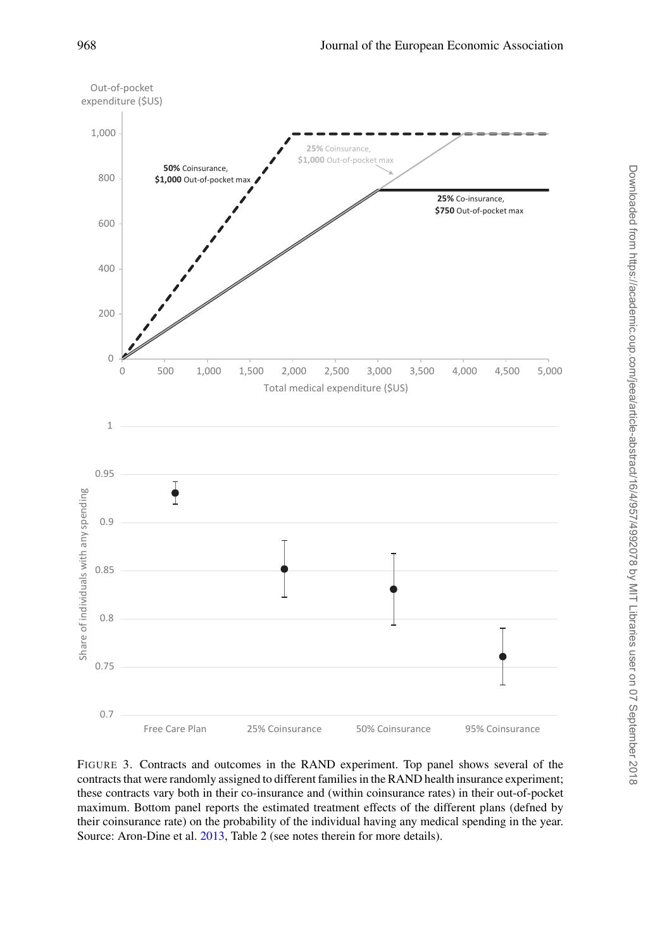<span id="page-11-0"></span>

FIGURE 3. Contracts and outcomes in the RAND experiment. Top panel shows several of the contracts that were randomly assigned to different families in the RAND health insurance experiment; these contracts vary both in their co-insurance and (within coinsurance rates) in their out-of-pocket maximum. Bottom panel reports the estimated treatment effects of the different plans (defned by their coinsurance rate) on the probability of the individual having any medical spending in the year. Source: Aron-Dine et al. [2013,](#page-23-5) Table 2 (see notes therein for more details).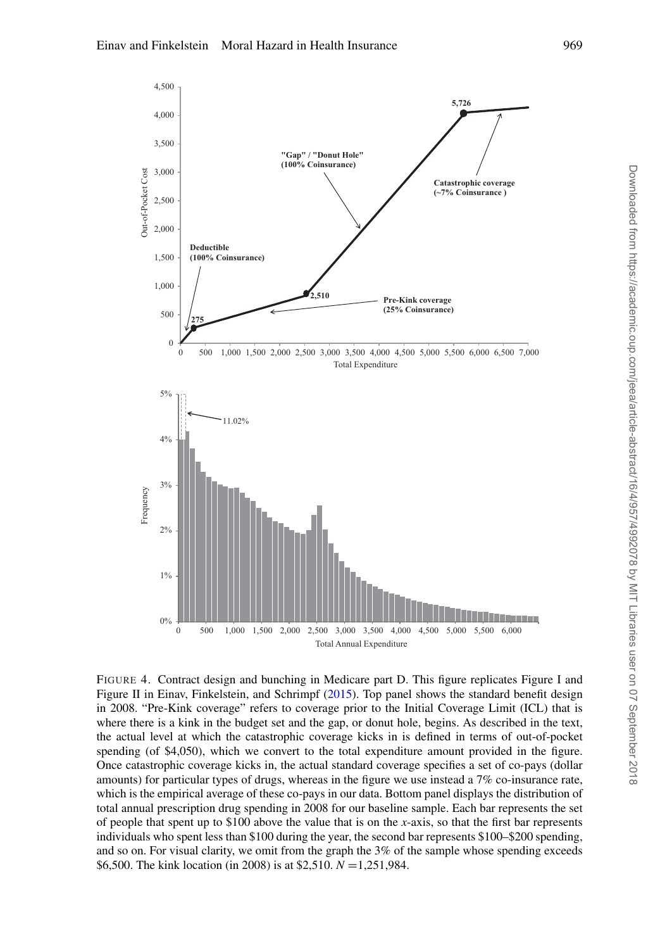<span id="page-12-0"></span>

FIGURE 4. Contract design and bunching in Medicare part D. This figure replicates Figure I and Figure II in Einav, Finkelstein, and Schrimpf [\(2015\)](#page-24-6). Top panel shows the standard benefit design in 2008. "Pre-Kink coverage" refers to coverage prior to the Initial Coverage Limit (ICL) that is where there is a kink in the budget set and the gap, or donut hole, begins. As described in the text, the actual level at which the catastrophic coverage kicks in is defined in terms of out-of-pocket spending (of \$4,050), which we convert to the total expenditure amount provided in the figure. Once catastrophic coverage kicks in, the actual standard coverage specifies a set of co-pays (dollar amounts) for particular types of drugs, whereas in the figure we use instead a 7% co-insurance rate, which is the empirical average of these co-pays in our data. Bottom panel displays the distribution of total annual prescription drug spending in 2008 for our baseline sample. Each bar represents the set of people that spent up to \$100 above the value that is on the *x*-axis, so that the first bar represents individuals who spent less than \$100 during the year, the second bar represents \$100–\$200 spending, and so on. For visual clarity, we omit from the graph the 3% of the sample whose spending exceeds \$6,500. The kink location (in 2008) is at \$2,510.  $N = 1,251,984$ .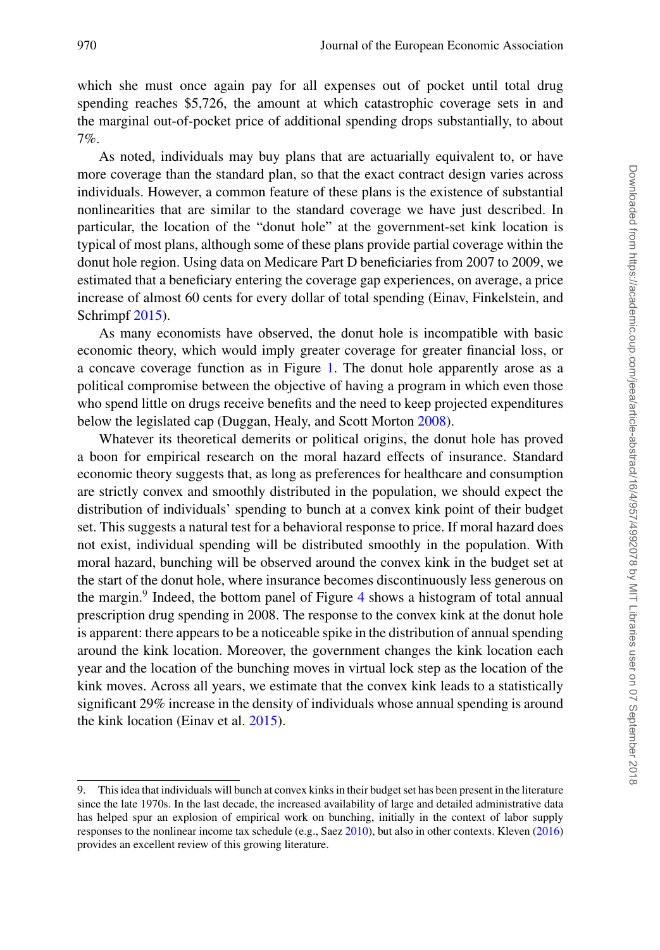which she must once again pay for all expenses out of pocket until total drug spending reaches \$5,726, the amount at which catastrophic coverage sets in and the marginal out-of-pocket price of additional spending drops substantially, to about 7%.

As noted, individuals may buy plans that are actuarially equivalent to, or have more coverage than the standard plan, so that the exact contract design varies across individuals. However, a common feature of these plans is the existence of substantial nonlinearities that are similar to the standard coverage we have just described. In particular, the location of the "donut hole" at the government-set kink location is typical of most plans, although some of these plans provide partial coverage within the donut hole region. Using data on Medicare Part D beneficiaries from 2007 to 2009, we estimated that a beneficiary entering the coverage gap experiences, on average, a price increase of almost 60 cents for every dollar of total spending (Einav, Finkelstein, and Schrimpf [2015\)](#page-24-6).

As many economists have observed, the donut hole is incompatible with basic economic theory, which would imply greater coverage for greater financial loss, or a concave coverage function as in Figure [1.](#page-4-0) The donut hole apparently arose as a political compromise between the objective of having a program in which even those who spend little on drugs receive benefits and the need to keep projected expenditures below the legislated cap (Duggan, Healy, and Scott Morton [2008\)](#page-24-7).

Whatever its theoretical demerits or political origins, the donut hole has proved a boon for empirical research on the moral hazard effects of insurance. Standard economic theory suggests that, as long as preferences for healthcare and consumption are strictly convex and smoothly distributed in the population, we should expect the distribution of individuals' spending to bunch at a convex kink point of their budget set. This suggests a natural test for a behavioral response to price. If moral hazard does not exist, individual spending will be distributed smoothly in the population. With moral hazard, bunching will be observed around the convex kink in the budget set at the start of the donut hole, where insurance becomes discontinuously less generous on the margin.<sup>9</sup> Indeed, the bottom panel of Figure [4](#page-12-0) shows a histogram of total annual prescription drug spending in 2008. The response to the convex kink at the donut hole is apparent: there appears to be a noticeable spike in the distribution of annual spending around the kink location. Moreover, the government changes the kink location each year and the location of the bunching moves in virtual lock step as the location of the kink moves. Across all years, we estimate that the convex kink leads to a statistically significant 29% increase in the density of individuals whose annual spending is around the kink location (Einav et al. [2015\)](#page-24-6).

Downloaded from https://academic.oup.com/jeea/article-abstract/16/4/957/4992078 by MIT Libraries user on 07 September 2018 Downloaded from https://academic.oup.com/jeea/article-abstract/16/4/957/4992078 by MIT Libraries user on 07 September 2018

<sup>9.</sup> This idea that individuals will bunch at convex kinks in their budget set has been present in the literature since the late 1970s. In the last decade, the increased availability of large and detailed administrative data has helped spur an explosion of empirical work on bunching, initially in the context of labor supply responses to the nonlinear income tax schedule (e.g., Saez [2010\)](#page-25-14), but also in other contexts. Kleven [\(2016\)](#page-25-15) provides an excellent review of this growing literature.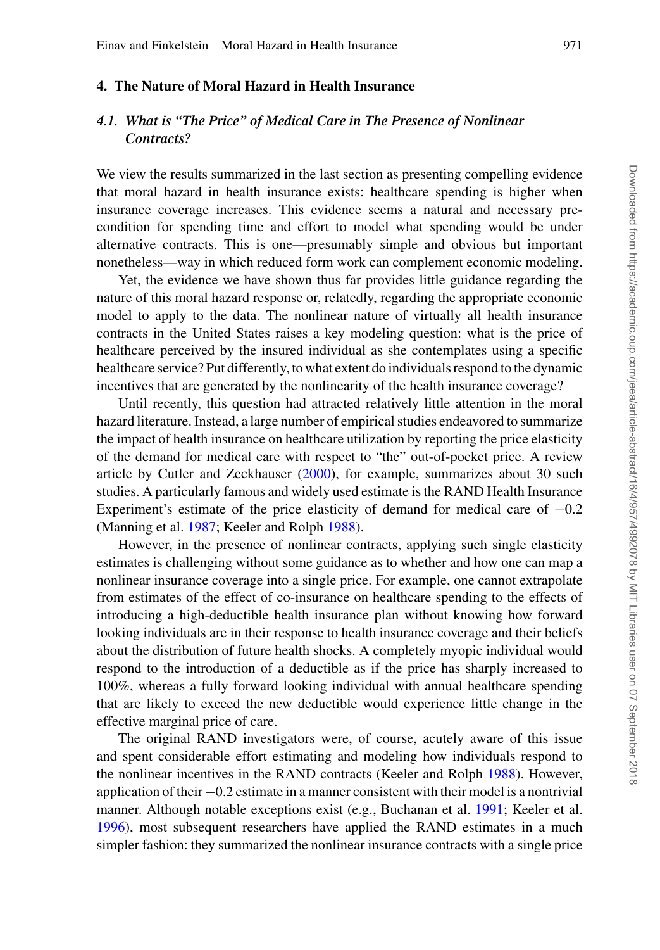#### **4. The Nature of Moral Hazard in Health Insurance**

# *4.1. What is "The Price" of Medical Care in The Presence of Nonlinear Contracts?*

We view the results summarized in the last section as presenting compelling evidence that moral hazard in health insurance exists: healthcare spending is higher when insurance coverage increases. This evidence seems a natural and necessary precondition for spending time and effort to model what spending would be under alternative contracts. This is one—presumably simple and obvious but important nonetheless—way in which reduced form work can complement economic modeling.

Yet, the evidence we have shown thus far provides little guidance regarding the nature of this moral hazard response or, relatedly, regarding the appropriate economic model to apply to the data. The nonlinear nature of virtually all health insurance contracts in the United States raises a key modeling question: what is the price of healthcare perceived by the insured individual as she contemplates using a specific healthcare service? Put differently, to what extent do individuals respond to the dynamic incentives that are generated by the nonlinearity of the health insurance coverage?

Until recently, this question had attracted relatively little attention in the moral hazard literature. Instead, a large number of empirical studies endeavored to summarize the impact of health insurance on healthcare utilization by reporting the price elasticity of the demand for medical care with respect to "the" out-of-pocket price. A review article by Cutler and Zeckhauser [\(2000\)](#page-24-3), for example, summarizes about 30 such studies. A particularly famous and widely used estimate is the RAND Health Insurance Experiment's estimate of the price elasticity of demand for medical care of  $-0.2$ (Manning et al. [1987;](#page-25-16) Keeler and Rolph [1988\)](#page-25-17).

However, in the presence of nonlinear contracts, applying such single elasticity estimates is challenging without some guidance as to whether and how one can map a nonlinear insurance coverage into a single price. For example, one cannot extrapolate from estimates of the effect of co-insurance on healthcare spending to the effects of introducing a high-deductible health insurance plan without knowing how forward looking individuals are in their response to health insurance coverage and their beliefs about the distribution of future health shocks. A completely myopic individual would respond to the introduction of a deductible as if the price has sharply increased to 100%, whereas a fully forward looking individual with annual healthcare spending that are likely to exceed the new deductible would experience little change in the effective marginal price of care.

The original RAND investigators were, of course, acutely aware of this issue and spent considerable effort estimating and modeling how individuals respond to the nonlinear incentives in the RAND contracts (Keeler and Rolph [1988\)](#page-25-17). However, application of their -0.2 estimate in a manner consistent with their model is a nontrivial manner. Although notable exceptions exist (e.g., Buchanan et al. [1991;](#page-24-8) Keeler et al. [1996\)](#page-25-18), most subsequent researchers have applied the RAND estimates in a much simpler fashion: they summarized the nonlinear insurance contracts with a single price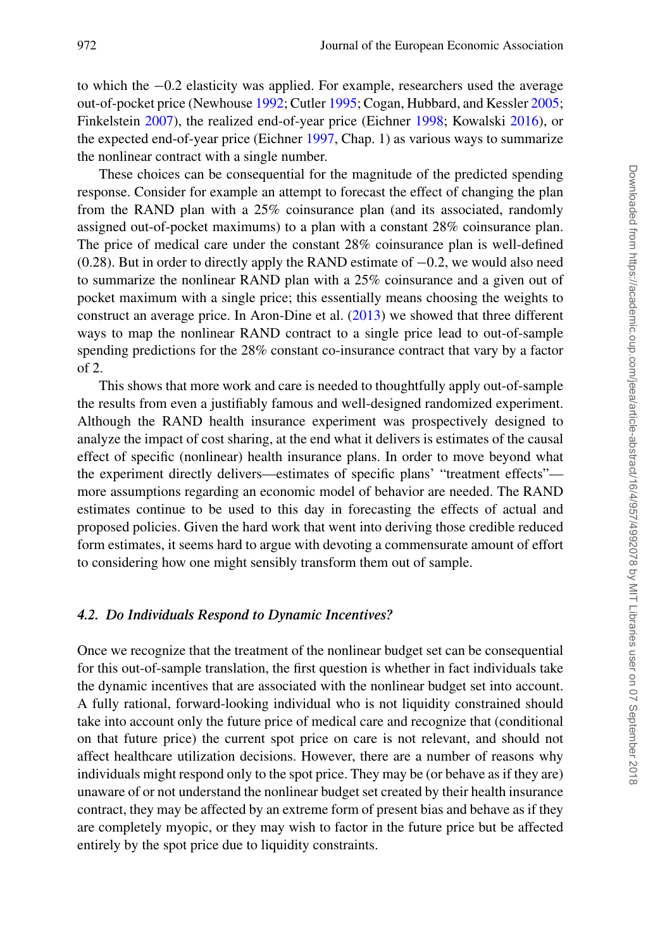to which the -0.2 elasticity was applied. For example, researchers used the average out-of-pocket price (Newhouse [1992;](#page-25-19) Cutler [1995;](#page-24-9) Cogan, Hubbard, and Kessler [2005;](#page-24-10) Finkelstein [2007\)](#page-24-11), the realized end-of-year price (Eichner [1998;](#page-24-12) Kowalski [2016\)](#page-25-20), or the expected end-of-year price (Eichner [1997,](#page-24-13) Chap. 1) as various ways to summarize the nonlinear contract with a single number.

These choices can be consequential for the magnitude of the predicted spending response. Consider for example an attempt to forecast the effect of changing the plan from the RAND plan with a 25% coinsurance plan (and its associated, randomly assigned out-of-pocket maximums) to a plan with a constant 28% coinsurance plan. The price of medical care under the constant 28% coinsurance plan is well-defined  $(0.28)$ . But in order to directly apply the RAND estimate of  $-0.2$ , we would also need to summarize the nonlinear RAND plan with a 25% coinsurance and a given out of pocket maximum with a single price; this essentially means choosing the weights to construct an average price. In Aron-Dine et al. [\(2013\)](#page-23-5) we showed that three different ways to map the nonlinear RAND contract to a single price lead to out-of-sample spending predictions for the 28% constant co-insurance contract that vary by a factor of 2.

This shows that more work and care is needed to thoughtfully apply out-of-sample the results from even a justifiably famous and well-designed randomized experiment. Although the RAND health insurance experiment was prospectively designed to analyze the impact of cost sharing, at the end what it delivers is estimates of the causal effect of specific (nonlinear) health insurance plans. In order to move beyond what the experiment directly delivers—estimates of specific plans' "treatment effects" more assumptions regarding an economic model of behavior are needed. The RAND estimates continue to be used to this day in forecasting the effects of actual and proposed policies. Given the hard work that went into deriving those credible reduced form estimates, it seems hard to argue with devoting a commensurate amount of effort to considering how one might sensibly transform them out of sample.

# *4.2. Do Individuals Respond to Dynamic Incentives?*

Once we recognize that the treatment of the nonlinear budget set can be consequential for this out-of-sample translation, the first question is whether in fact individuals take the dynamic incentives that are associated with the nonlinear budget set into account. A fully rational, forward-looking individual who is not liquidity constrained should take into account only the future price of medical care and recognize that (conditional on that future price) the current spot price on care is not relevant, and should not affect healthcare utilization decisions. However, there are a number of reasons why individuals might respond only to the spot price. They may be (or behave as if they are) unaware of or not understand the nonlinear budget set created by their health insurance contract, they may be affected by an extreme form of present bias and behave as if they are completely myopic, or they may wish to factor in the future price but be affected entirely by the spot price due to liquidity constraints.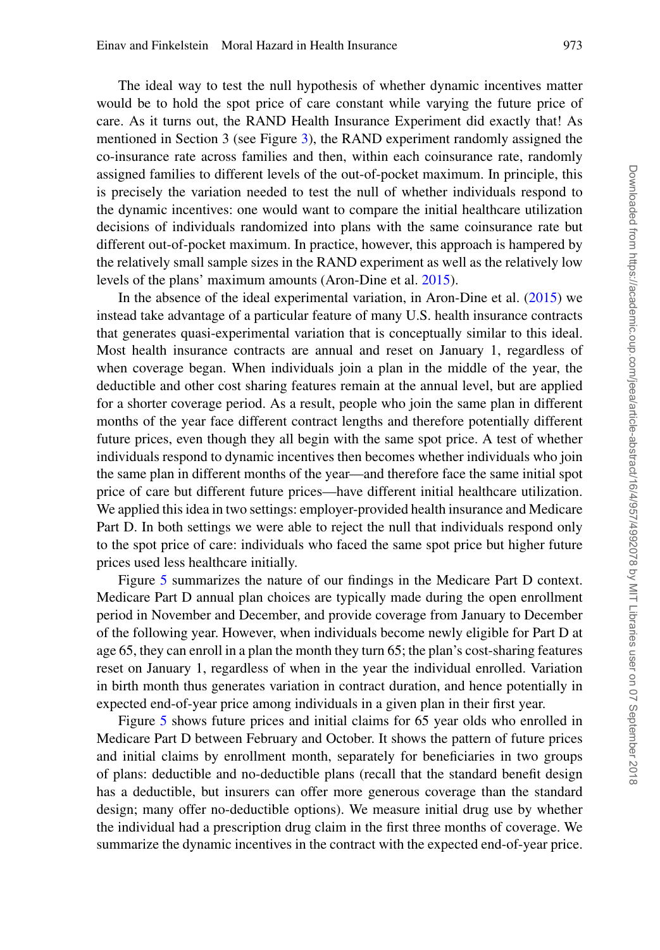The ideal way to test the null hypothesis of whether dynamic incentives matter would be to hold the spot price of care constant while varying the future price of care. As it turns out, the RAND Health Insurance Experiment did exactly that! As mentioned in Section 3 (see Figure [3\)](#page-11-0), the RAND experiment randomly assigned the co-insurance rate across families and then, within each coinsurance rate, randomly assigned families to different levels of the out-of-pocket maximum. In principle, this is precisely the variation needed to test the null of whether individuals respond to the dynamic incentives: one would want to compare the initial healthcare utilization decisions of individuals randomized into plans with the same coinsurance rate but different out-of-pocket maximum. In practice, however, this approach is hampered by the relatively small sample sizes in the RAND experiment as well as the relatively low levels of the plans' maximum amounts (Aron-Dine et al. [2015\)](#page-23-6).

In the absence of the ideal experimental variation, in Aron-Dine et al.  $(2015)$  we instead take advantage of a particular feature of many U.S. health insurance contracts that generates quasi-experimental variation that is conceptually similar to this ideal. Most health insurance contracts are annual and reset on January 1, regardless of when coverage began. When individuals join a plan in the middle of the year, the deductible and other cost sharing features remain at the annual level, but are applied for a shorter coverage period. As a result, people who join the same plan in different months of the year face different contract lengths and therefore potentially different future prices, even though they all begin with the same spot price. A test of whether individuals respond to dynamic incentives then becomes whether individuals who join the same plan in different months of the year—and therefore face the same initial spot price of care but different future prices—have different initial healthcare utilization. We applied this idea in two settings: employer-provided health insurance and Medicare Part D. In both settings we were able to reject the null that individuals respond only to the spot price of care: individuals who faced the same spot price but higher future prices used less healthcare initially.

Figure [5](#page-17-0) summarizes the nature of our findings in the Medicare Part D context. Medicare Part D annual plan choices are typically made during the open enrollment period in November and December, and provide coverage from January to December of the following year. However, when individuals become newly eligible for Part D at age 65, they can enroll in a plan the month they turn 65; the plan's cost-sharing features reset on January 1, regardless of when in the year the individual enrolled. Variation in birth month thus generates variation in contract duration, and hence potentially in expected end-of-year price among individuals in a given plan in their first year.

Figure [5](#page-17-0) shows future prices and initial claims for 65 year olds who enrolled in Medicare Part D between February and October. It shows the pattern of future prices and initial claims by enrollment month, separately for beneficiaries in two groups of plans: deductible and no-deductible plans (recall that the standard benefit design has a deductible, but insurers can offer more generous coverage than the standard design; many offer no-deductible options). We measure initial drug use by whether the individual had a prescription drug claim in the first three months of coverage. We summarize the dynamic incentives in the contract with the expected end-of-year price.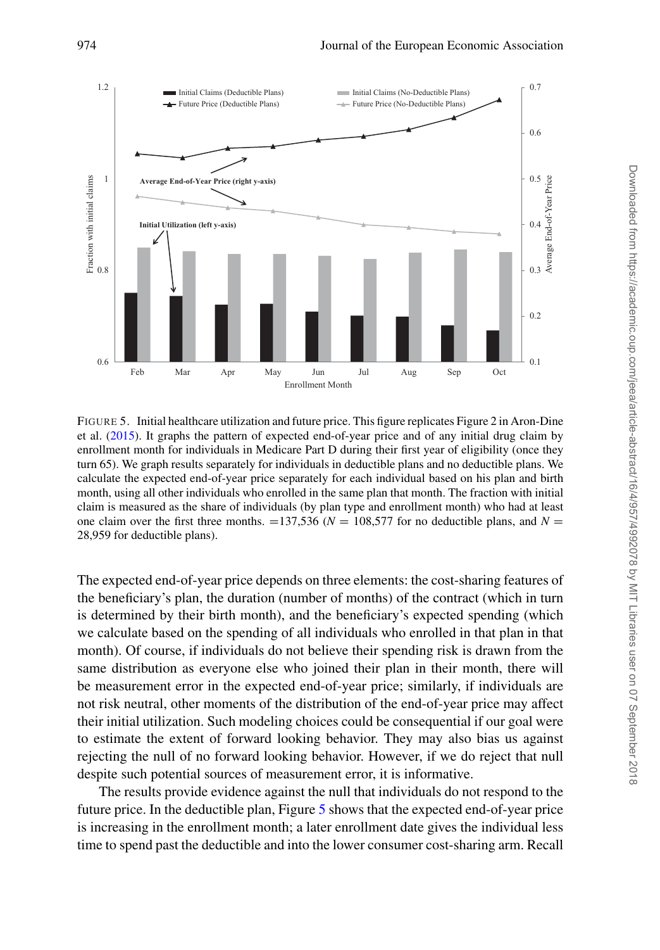<span id="page-17-0"></span>

FIGURE 5. Initial healthcare utilization and future price. This figure replicates Figure 2 in Aron-Dine et al. [\(2015\)](#page-23-6). It graphs the pattern of expected end-of-year price and of any initial drug claim by enrollment month for individuals in Medicare Part D during their first year of eligibility (once they turn 65). We graph results separately for individuals in deductible plans and no deductible plans. We calculate the expected end-of-year price separately for each individual based on his plan and birth month, using all other individuals who enrolled in the same plan that month. The fraction with initial claim is measured as the share of individuals (by plan type and enrollment month) who had at least one claim over the first three months.  $=$ 137,536 ( $N = 108,577$  for no deductible plans, and  $N =$ 28,959 for deductible plans).

The expected end-of-year price depends on three elements: the cost-sharing features of the beneficiary's plan, the duration (number of months) of the contract (which in turn is determined by their birth month), and the beneficiary's expected spending (which we calculate based on the spending of all individuals who enrolled in that plan in that month). Of course, if individuals do not believe their spending risk is drawn from the same distribution as everyone else who joined their plan in their month, there will be measurement error in the expected end-of-year price; similarly, if individuals are not risk neutral, other moments of the distribution of the end-of-year price may affect their initial utilization. Such modeling choices could be consequential if our goal were to estimate the extent of forward looking behavior. They may also bias us against rejecting the null of no forward looking behavior. However, if we do reject that null despite such potential sources of measurement error, it is informative.

The results provide evidence against the null that individuals do not respond to the future price. In the deductible plan, Figure [5](#page-17-0) shows that the expected end-of-year price is increasing in the enrollment month; a later enrollment date gives the individual less time to spend past the deductible and into the lower consumer cost-sharing arm. Recall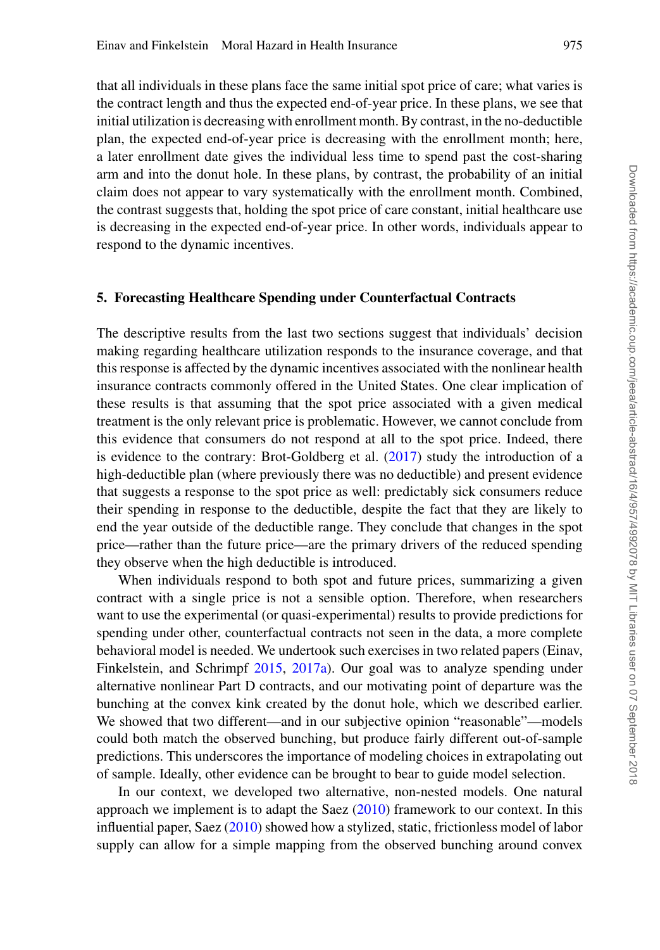that all individuals in these plans face the same initial spot price of care; what varies is the contract length and thus the expected end-of-year price. In these plans, we see that initial utilization is decreasing with enrollment month. By contrast, in the no-deductible plan, the expected end-of-year price is decreasing with the enrollment month; here, a later enrollment date gives the individual less time to spend past the cost-sharing arm and into the donut hole. In these plans, by contrast, the probability of an initial claim does not appear to vary systematically with the enrollment month. Combined, the contrast suggests that, holding the spot price of care constant, initial healthcare use is decreasing in the expected end-of-year price. In other words, individuals appear to respond to the dynamic incentives.

# **5. Forecasting Healthcare Spending under Counterfactual Contracts**

The descriptive results from the last two sections suggest that individuals' decision making regarding healthcare utilization responds to the insurance coverage, and that this response is affected by the dynamic incentives associated with the nonlinear health insurance contracts commonly offered in the United States. One clear implication of these results is that assuming that the spot price associated with a given medical treatment is the only relevant price is problematic. However, we cannot conclude from this evidence that consumers do not respond at all to the spot price. Indeed, there is evidence to the contrary: Brot-Goldberg et al. [\(2017\)](#page-23-4) study the introduction of a high-deductible plan (where previously there was no deductible) and present evidence that suggests a response to the spot price as well: predictably sick consumers reduce their spending in response to the deductible, despite the fact that they are likely to end the year outside of the deductible range. They conclude that changes in the spot price—rather than the future price—are the primary drivers of the reduced spending they observe when the high deductible is introduced.

When individuals respond to both spot and future prices, summarizing a given contract with a single price is not a sensible option. Therefore, when researchers want to use the experimental (or quasi-experimental) results to provide predictions for spending under other, counterfactual contracts not seen in the data, a more complete behavioral model is needed. We undertook such exercises in two related papers (Einav, Finkelstein, and Schrimpf [2015,](#page-24-6) [2017a\)](#page-24-14). Our goal was to analyze spending under alternative nonlinear Part D contracts, and our motivating point of departure was the bunching at the convex kink created by the donut hole, which we described earlier. We showed that two different—and in our subjective opinion "reasonable"—models could both match the observed bunching, but produce fairly different out-of-sample predictions. This underscores the importance of modeling choices in extrapolating out of sample. Ideally, other evidence can be brought to bear to guide model selection.

In our context, we developed two alternative, non-nested models. One natural approach we implement is to adapt the Saez [\(2010\)](#page-25-14) framework to our context. In this influential paper, Saez [\(2010\)](#page-25-14) showed how a stylized, static, frictionless model of labor supply can allow for a simple mapping from the observed bunching around convex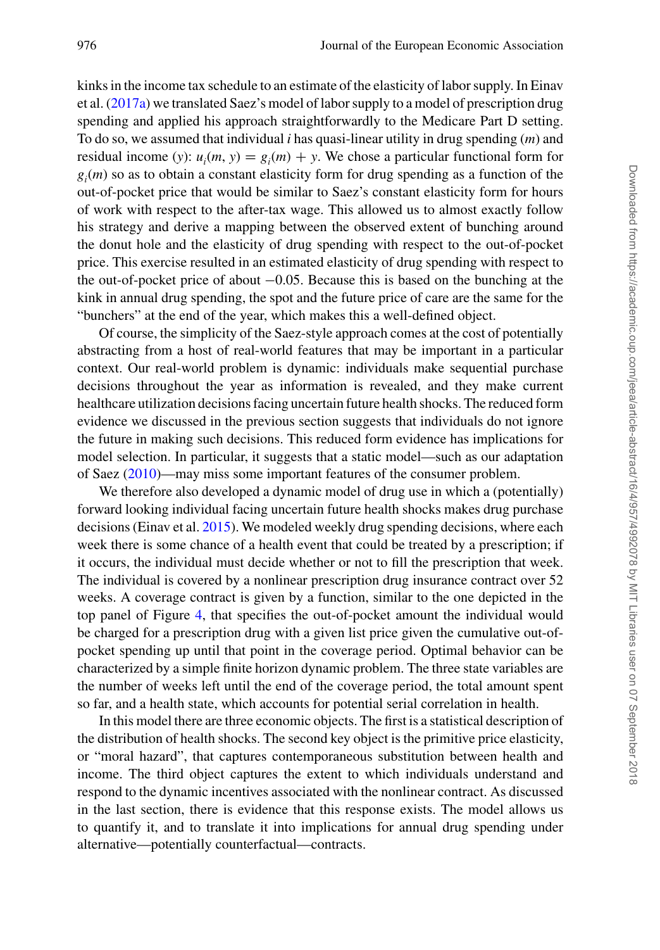kinks in the income tax schedule to an estimate of the elasticity of labor supply. In Einav et al. [\(2017a\)](#page-24-14) we translated Saez's model of labor supply to a model of prescription drug spending and applied his approach straightforwardly to the Medicare Part D setting. To do so, we assumed that individual *i* has quasi-linear utility in drug spending (*m*) and residual income (*y*):  $u_i(m, y) = g_i(m) + y$ . We chose a particular functional form for  $g_i(m)$  so as to obtain a constant elasticity form for drug spending as a function of the out-of-pocket price that would be similar to Saez's constant elasticity form for hours of work with respect to the after-tax wage. This allowed us to almost exactly follow his strategy and derive a mapping between the observed extent of bunching around the donut hole and the elasticity of drug spending with respect to the out-of-pocket price. This exercise resulted in an estimated elasticity of drug spending with respect to the out-of-pocket price of about  $-0.05$ . Because this is based on the bunching at the kink in annual drug spending, the spot and the future price of care are the same for the "bunchers" at the end of the year, which makes this a well-defined object.

Of course, the simplicity of the Saez-style approach comes at the cost of potentially abstracting from a host of real-world features that may be important in a particular context. Our real-world problem is dynamic: individuals make sequential purchase decisions throughout the year as information is revealed, and they make current healthcare utilization decisions facing uncertain future health shocks. The reduced form evidence we discussed in the previous section suggests that individuals do not ignore the future in making such decisions. This reduced form evidence has implications for model selection. In particular, it suggests that a static model—such as our adaptation of Saez [\(2010\)](#page-25-14)—may miss some important features of the consumer problem.

We therefore also developed a dynamic model of drug use in which a (potentially) forward looking individual facing uncertain future health shocks makes drug purchase decisions (Einav et al. [2015\)](#page-24-6). We modeled weekly drug spending decisions, where each week there is some chance of a health event that could be treated by a prescription; if it occurs, the individual must decide whether or not to fill the prescription that week. The individual is covered by a nonlinear prescription drug insurance contract over 52 weeks. A coverage contract is given by a function, similar to the one depicted in the top panel of Figure [4,](#page-12-0) that specifies the out-of-pocket amount the individual would be charged for a prescription drug with a given list price given the cumulative out-ofpocket spending up until that point in the coverage period. Optimal behavior can be characterized by a simple finite horizon dynamic problem. The three state variables are the number of weeks left until the end of the coverage period, the total amount spent so far, and a health state, which accounts for potential serial correlation in health.

In this model there are three economic objects. The first is a statistical description of the distribution of health shocks. The second key object is the primitive price elasticity, or "moral hazard", that captures contemporaneous substitution between health and income. The third object captures the extent to which individuals understand and respond to the dynamic incentives associated with the nonlinear contract. As discussed in the last section, there is evidence that this response exists. The model allows us to quantify it, and to translate it into implications for annual drug spending under alternative—potentially counterfactual—contracts.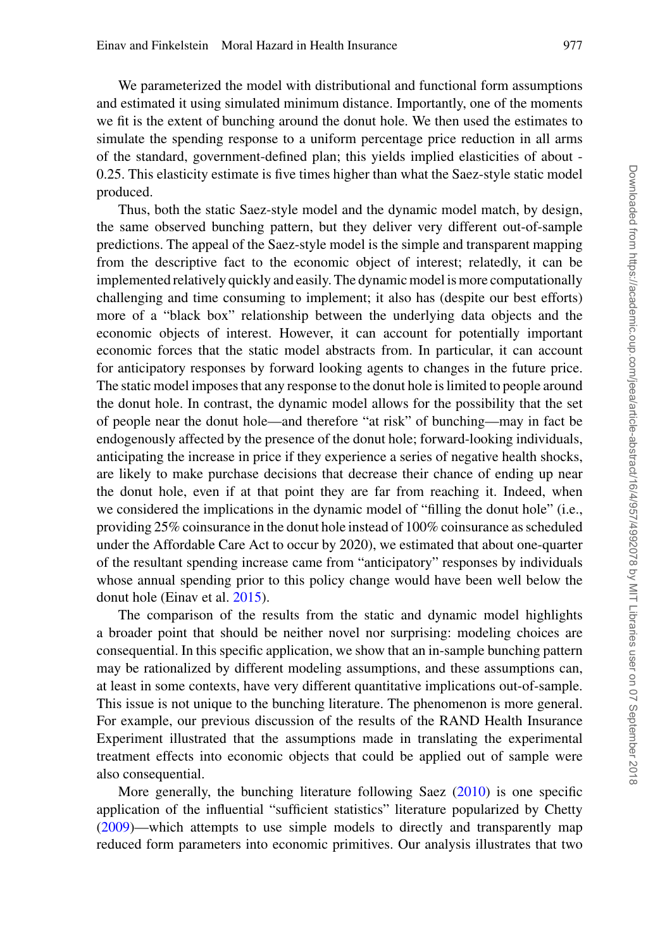We parameterized the model with distributional and functional form assumptions and estimated it using simulated minimum distance. Importantly, one of the moments we fit is the extent of bunching around the donut hole. We then used the estimates to simulate the spending response to a uniform percentage price reduction in all arms of the standard, government-defined plan; this yields implied elasticities of about - 0.25. This elasticity estimate is five times higher than what the Saez-style static model produced.

Thus, both the static Saez-style model and the dynamic model match, by design, the same observed bunching pattern, but they deliver very different out-of-sample predictions. The appeal of the Saez-style model is the simple and transparent mapping from the descriptive fact to the economic object of interest; relatedly, it can be implemented relatively quickly and easily. The dynamic model is more computationally challenging and time consuming to implement; it also has (despite our best efforts) more of a "black box" relationship between the underlying data objects and the economic objects of interest. However, it can account for potentially important economic forces that the static model abstracts from. In particular, it can account for anticipatory responses by forward looking agents to changes in the future price. The static model imposes that any response to the donut hole is limited to people around the donut hole. In contrast, the dynamic model allows for the possibility that the set of people near the donut hole—and therefore "at risk" of bunching—may in fact be endogenously affected by the presence of the donut hole; forward-looking individuals, anticipating the increase in price if they experience a series of negative health shocks, are likely to make purchase decisions that decrease their chance of ending up near the donut hole, even if at that point they are far from reaching it. Indeed, when we considered the implications in the dynamic model of "filling the donut hole" (i.e., providing 25% coinsurance in the donut hole instead of 100% coinsurance as scheduled under the Affordable Care Act to occur by 2020), we estimated that about one-quarter of the resultant spending increase came from "anticipatory" responses by individuals whose annual spending prior to this policy change would have been well below the donut hole (Einav et al. [2015\)](#page-24-6).

The comparison of the results from the static and dynamic model highlights a broader point that should be neither novel nor surprising: modeling choices are consequential. In this specific application, we show that an in-sample bunching pattern may be rationalized by different modeling assumptions, and these assumptions can, at least in some contexts, have very different quantitative implications out-of-sample. This issue is not unique to the bunching literature. The phenomenon is more general. For example, our previous discussion of the results of the RAND Health Insurance Experiment illustrated that the assumptions made in translating the experimental treatment effects into economic objects that could be applied out of sample were also consequential.

More generally, the bunching literature following Saez [\(2010\)](#page-25-14) is one specific application of the influential "sufficient statistics" literature popularized by Chetty [\(2009\)](#page-24-0)—which attempts to use simple models to directly and transparently map reduced form parameters into economic primitives. Our analysis illustrates that two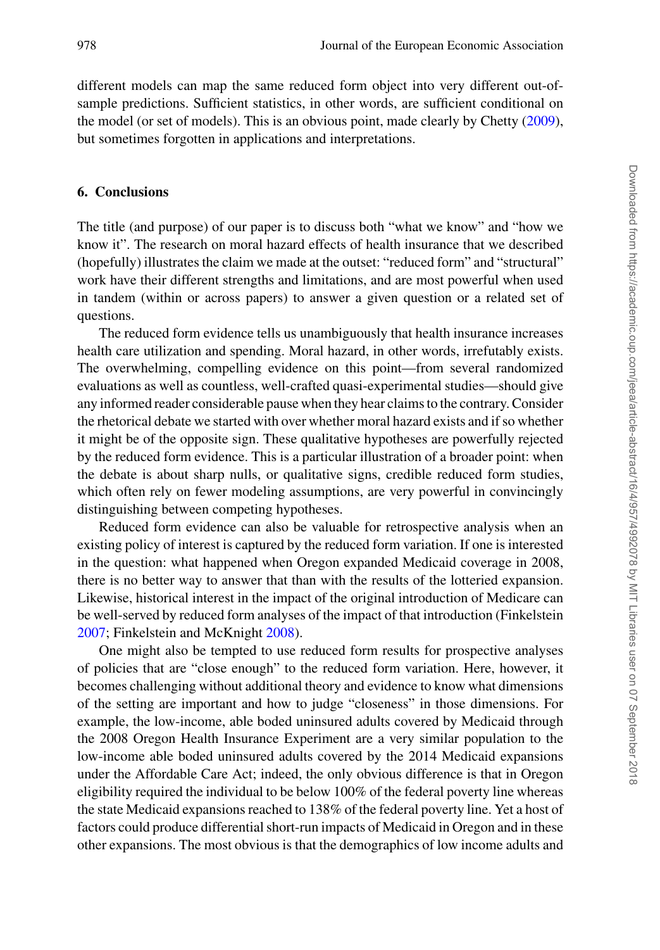different models can map the same reduced form object into very different out-ofsample predictions. Sufficient statistics, in other words, are sufficient conditional on the model (or set of models). This is an obvious point, made clearly by Chetty [\(2009\)](#page-24-0), but sometimes forgotten in applications and interpretations.

#### **6. Conclusions**

The title (and purpose) of our paper is to discuss both "what we know" and "how we know it". The research on moral hazard effects of health insurance that we described (hopefully) illustrates the claim we made at the outset: "reduced form" and "structural" work have their different strengths and limitations, and are most powerful when used in tandem (within or across papers) to answer a given question or a related set of questions.

The reduced form evidence tells us unambiguously that health insurance increases health care utilization and spending. Moral hazard, in other words, irrefutably exists. The overwhelming, compelling evidence on this point—from several randomized evaluations as well as countless, well-crafted quasi-experimental studies—should give any informed reader considerable pause when they hear claims to the contrary. Consider the rhetorical debate we started with over whether moral hazard exists and if so whether it might be of the opposite sign. These qualitative hypotheses are powerfully rejected by the reduced form evidence. This is a particular illustration of a broader point: when the debate is about sharp nulls, or qualitative signs, credible reduced form studies, which often rely on fewer modeling assumptions, are very powerful in convincingly distinguishing between competing hypotheses.

Reduced form evidence can also be valuable for retrospective analysis when an existing policy of interest is captured by the reduced form variation. If one is interested in the question: what happened when Oregon expanded Medicaid coverage in 2008, there is no better way to answer that than with the results of the lotteried expansion. Likewise, historical interest in the impact of the original introduction of Medicare can be well-served by reduced form analyses of the impact of that introduction (Finkelstein [2007;](#page-24-11) Finkelstein and McKnight [2008\)](#page-24-15).

One might also be tempted to use reduced form results for prospective analyses of policies that are "close enough" to the reduced form variation. Here, however, it becomes challenging without additional theory and evidence to know what dimensions of the setting are important and how to judge "closeness" in those dimensions. For example, the low-income, able boded uninsured adults covered by Medicaid through the 2008 Oregon Health Insurance Experiment are a very similar population to the low-income able boded uninsured adults covered by the 2014 Medicaid expansions under the Affordable Care Act; indeed, the only obvious difference is that in Oregon eligibility required the individual to be below 100% of the federal poverty line whereas the state Medicaid expansions reached to 138% of the federal poverty line. Yet a host of factors could produce differential short-run impacts of Medicaid in Oregon and in these other expansions. The most obvious is that the demographics of low income adults and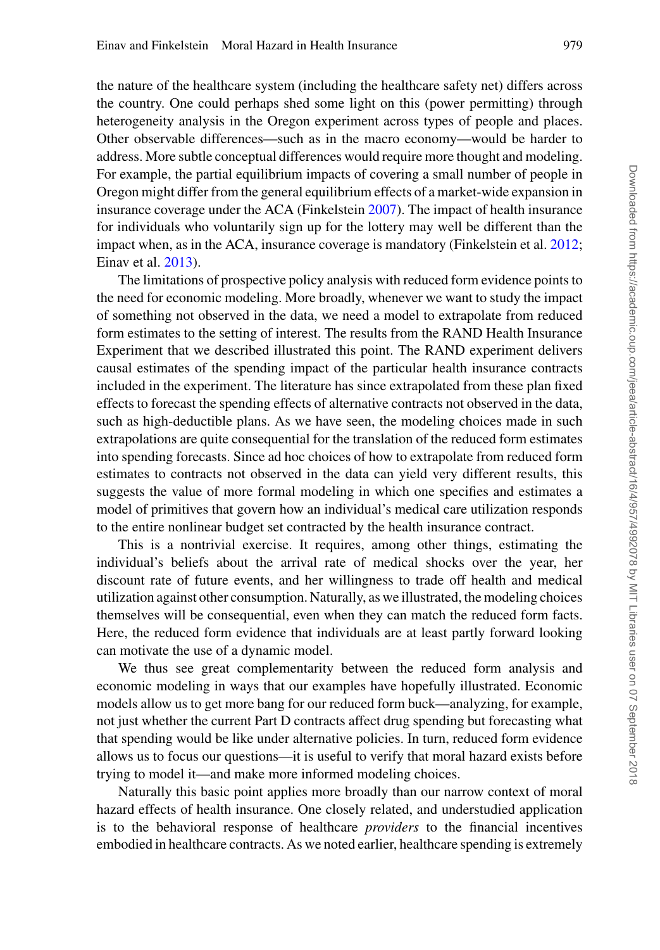the nature of the healthcare system (including the healthcare safety net) differs across the country. One could perhaps shed some light on this (power permitting) through heterogeneity analysis in the Oregon experiment across types of people and places. Other observable differences—such as in the macro economy—would be harder to address. More subtle conceptual differences would require more thought and modeling. For example, the partial equilibrium impacts of covering a small number of people in Oregon might differ from the general equilibrium effects of a market-wide expansion in insurance coverage under the ACA (Finkelstein [2007\)](#page-24-11). The impact of health insurance for individuals who voluntarily sign up for the lottery may well be different than the impact when, as in the ACA, insurance coverage is mandatory (Finkelstein et al. [2012;](#page-24-5) Einav et al. [2013\)](#page-24-16).

The limitations of prospective policy analysis with reduced form evidence points to the need for economic modeling. More broadly, whenever we want to study the impact of something not observed in the data, we need a model to extrapolate from reduced form estimates to the setting of interest. The results from the RAND Health Insurance Experiment that we described illustrated this point. The RAND experiment delivers causal estimates of the spending impact of the particular health insurance contracts included in the experiment. The literature has since extrapolated from these plan fixed effects to forecast the spending effects of alternative contracts not observed in the data, such as high-deductible plans. As we have seen, the modeling choices made in such extrapolations are quite consequential for the translation of the reduced form estimates into spending forecasts. Since ad hoc choices of how to extrapolate from reduced form estimates to contracts not observed in the data can yield very different results, this suggests the value of more formal modeling in which one specifies and estimates a model of primitives that govern how an individual's medical care utilization responds to the entire nonlinear budget set contracted by the health insurance contract.

This is a nontrivial exercise. It requires, among other things, estimating the individual's beliefs about the arrival rate of medical shocks over the year, her discount rate of future events, and her willingness to trade off health and medical utilization against other consumption. Naturally, as we illustrated, the modeling choices themselves will be consequential, even when they can match the reduced form facts. Here, the reduced form evidence that individuals are at least partly forward looking can motivate the use of a dynamic model.

We thus see great complementarity between the reduced form analysis and economic modeling in ways that our examples have hopefully illustrated. Economic models allow us to get more bang for our reduced form buck—analyzing, for example, not just whether the current Part D contracts affect drug spending but forecasting what that spending would be like under alternative policies. In turn, reduced form evidence allows us to focus our questions—it is useful to verify that moral hazard exists before trying to model it—and make more informed modeling choices.

Naturally this basic point applies more broadly than our narrow context of moral hazard effects of health insurance. One closely related, and understudied application is to the behavioral response of healthcare *providers* to the financial incentives embodied in healthcare contracts. As we noted earlier, healthcare spending is extremely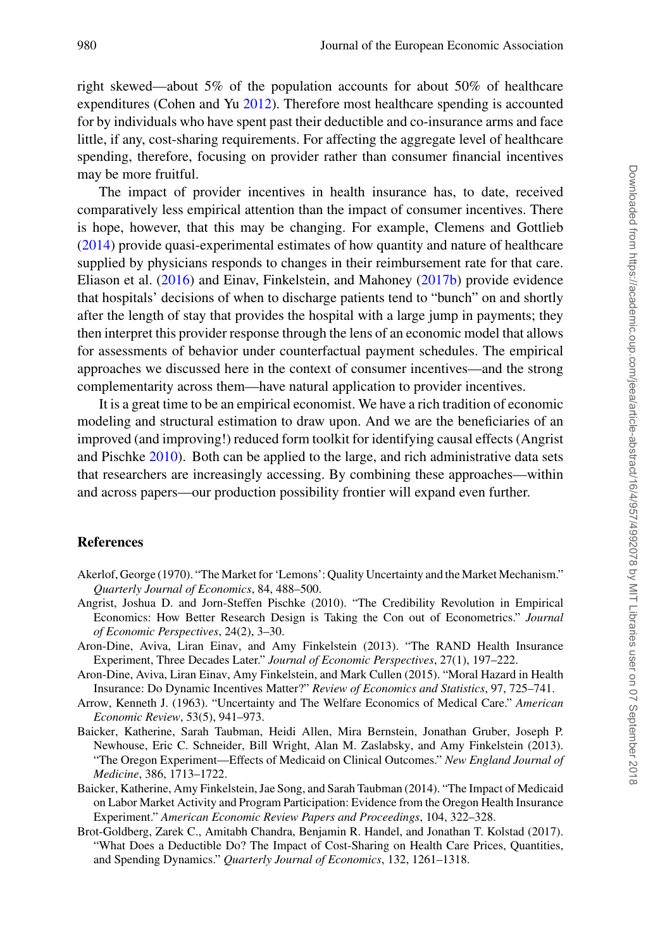right skewed—about 5% of the population accounts for about 50% of healthcare expenditures (Cohen and Yu [2012\)](#page-24-17). Therefore most healthcare spending is accounted for by individuals who have spent past their deductible and co-insurance arms and face little, if any, cost-sharing requirements. For affecting the aggregate level of healthcare spending, therefore, focusing on provider rather than consumer financial incentives may be more fruitful.

The impact of provider incentives in health insurance has, to date, received comparatively less empirical attention than the impact of consumer incentives. There is hope, however, that this may be changing. For example, Clemens and Gottlieb [\(2014\)](#page-24-18) provide quasi-experimental estimates of how quantity and nature of healthcare supplied by physicians responds to changes in their reimbursement rate for that care. Eliason et al. [\(2016\)](#page-24-19) and Einav, Finkelstein, and Mahoney [\(2017b\)](#page-24-20) provide evidence that hospitals' decisions of when to discharge patients tend to "bunch" on and shortly after the length of stay that provides the hospital with a large jump in payments; they then interpret this provider response through the lens of an economic model that allows for assessments of behavior under counterfactual payment schedules. The empirical approaches we discussed here in the context of consumer incentives—and the strong complementarity across them—have natural application to provider incentives.

It is a great time to be an empirical economist. We have a rich tradition of economic modeling and structural estimation to draw upon. And we are the beneficiaries of an improved (and improving!) reduced form toolkit for identifying causal effects (Angrist and Pischke [2010\)](#page-23-7). Both can be applied to the large, and rich administrative data sets that researchers are increasingly accessing. By combining these approaches—within and across papers—our production possibility frontier will expand even further.

## **References**

- <span id="page-23-1"></span>Akerlof, George (1970). "The Market for 'Lemons': Quality Uncertainty and the Market Mechanism." *Quarterly Journal of Economics*, 84, 488–500.
- <span id="page-23-7"></span>Angrist, Joshua D. and Jorn-Steffen Pischke (2010). "The Credibility Revolution in Empirical Economics: How Better Research Design is Taking the Con out of Econometrics." *Journal of Economic Perspectives*, 24(2), 3–30.
- <span id="page-23-5"></span>Aron-Dine, Aviva, Liran Einav, and Amy Finkelstein (2013). "The RAND Health Insurance Experiment, Three Decades Later." *Journal of Economic Perspectives*, 27(1), 197–222.
- <span id="page-23-6"></span>Aron-Dine, Aviva, Liran Einav, Amy Finkelstein, and Mark Cullen (2015). "Moral Hazard in Health Insurance: Do Dynamic Incentives Matter?" *Review of Economics and Statistics*, 97, 725–741.
- <span id="page-23-0"></span>Arrow, Kenneth J. (1963). "Uncertainty and The Welfare Economics of Medical Care." *American Economic Review*, 53(5), 941–973.
- <span id="page-23-2"></span>Baicker, Katherine, Sarah Taubman, Heidi Allen, Mira Bernstein, Jonathan Gruber, Joseph P. Newhouse, Eric C. Schneider, Bill Wright, Alan M. Zaslabsky, and Amy Finkelstein (2013). "The Oregon Experiment—Effects of Medicaid on Clinical Outcomes." *New England Journal of Medicine*, 386, 1713–1722.
- <span id="page-23-3"></span>Baicker, Katherine, Amy Finkelstein, Jae Song, and Sarah Taubman (2014). "The Impact of Medicaid on Labor Market Activity and Program Participation: Evidence from the Oregon Health Insurance Experiment." *American Economic Review Papers and Proceedings*, 104, 322–328.
- <span id="page-23-4"></span>Brot-Goldberg, Zarek C., Amitabh Chandra, Benjamin R. Handel, and Jonathan T. Kolstad (2017). "What Does a Deductible Do? The Impact of Cost-Sharing on Health Care Prices, Quantities, and Spending Dynamics." *Quarterly Journal of Economics*, 132, 1261–1318.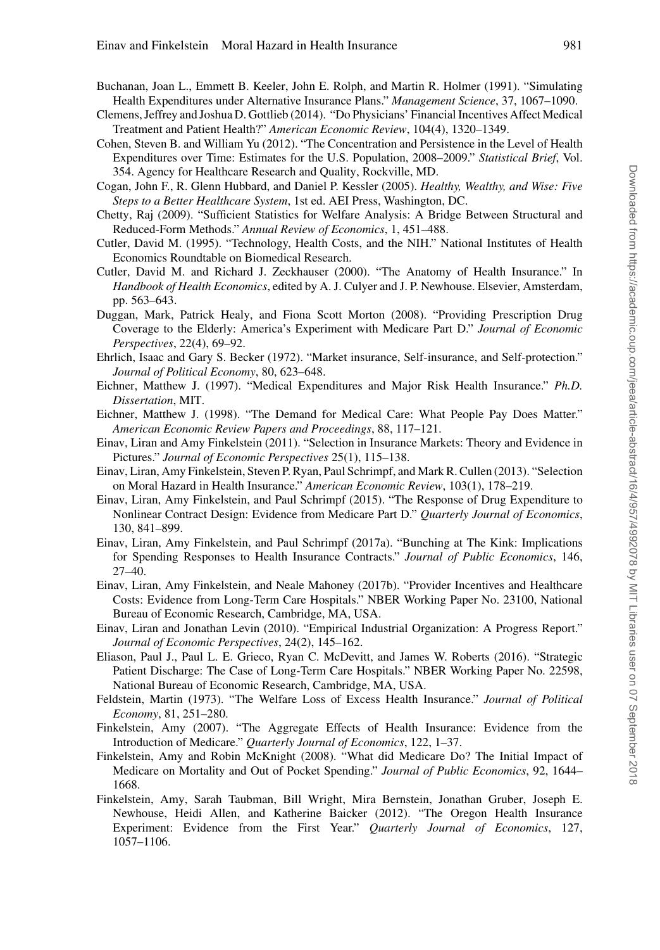- <span id="page-24-8"></span>Buchanan, Joan L., Emmett B. Keeler, John E. Rolph, and Martin R. Holmer (1991). "Simulating Health Expenditures under Alternative Insurance Plans." *Management Science*, 37, 1067–1090.
- <span id="page-24-18"></span>Clemens, Jeffrey and Joshua D. Gottlieb (2014). "Do Physicians' Financial Incentives Affect Medical Treatment and Patient Health?" *American Economic Review*, 104(4), 1320–1349.
- <span id="page-24-17"></span>Cohen, Steven B. and William Yu (2012). "The Concentration and Persistence in the Level of Health Expenditures over Time: Estimates for the U.S. Population, 2008–2009." *Statistical Brief*, Vol. 354. Agency for Healthcare Research and Quality, Rockville, MD.
- <span id="page-24-10"></span>Cogan, John F., R. Glenn Hubbard, and Daniel P. Kessler (2005). *Healthy, Wealthy, and Wise: Five Steps to a Better Healthcare System*, 1st ed. AEI Press, Washington, DC.
- <span id="page-24-0"></span>Chetty, Raj (2009). "Sufficient Statistics for Welfare Analysis: A Bridge Between Structural and Reduced-Form Methods." *Annual Review of Economics*, 1, 451–488.
- <span id="page-24-9"></span>Cutler, David M. (1995). "Technology, Health Costs, and the NIH." National Institutes of Health Economics Roundtable on Biomedical Research.
- <span id="page-24-3"></span>Cutler, David M. and Richard J. Zeckhauser (2000). "The Anatomy of Health Insurance." In *Handbook of Health Economics*, edited by A. J. Culyer and J. P. Newhouse. Elsevier, Amsterdam, pp. 563–643.
- <span id="page-24-7"></span>Duggan, Mark, Patrick Healy, and Fiona Scott Morton (2008). "Providing Prescription Drug Coverage to the Elderly: America's Experiment with Medicare Part D." *Journal of Economic Perspectives*, 22(4), 69–92.
- <span id="page-24-2"></span>Ehrlich, Isaac and Gary S. Becker (1972). "Market insurance, Self-insurance, and Self-protection." *Journal of Political Economy*, 80, 623–648.
- <span id="page-24-13"></span>Eichner, Matthew J. (1997). "Medical Expenditures and Major Risk Health Insurance." *Ph.D. Dissertation*, MIT.
- <span id="page-24-12"></span>Eichner, Matthew J. (1998). "The Demand for Medical Care: What People Pay Does Matter." *American Economic Review Papers and Proceedings*, 88, 117–121.
- <span id="page-24-4"></span>Einav, Liran and Amy Finkelstein (2011). "Selection in Insurance Markets: Theory and Evidence in Pictures." *Journal of Economic Perspectives* 25(1), 115–138.
- <span id="page-24-16"></span>Einav, Liran, Amy Finkelstein, Steven P. Ryan, Paul Schrimpf, and Mark R. Cullen (2013). "Selection on Moral Hazard in Health Insurance." *American Economic Review*, 103(1), 178–219.
- <span id="page-24-6"></span>Einav, Liran, Amy Finkelstein, and Paul Schrimpf (2015). "The Response of Drug Expenditure to Nonlinear Contract Design: Evidence from Medicare Part D." *Quarterly Journal of Economics*, 130, 841–899.
- <span id="page-24-14"></span>Einav, Liran, Amy Finkelstein, and Paul Schrimpf (2017a). "Bunching at The Kink: Implications for Spending Responses to Health Insurance Contracts." *Journal of Public Economics*, 146, 27–40.
- <span id="page-24-20"></span>Einav, Liran, Amy Finkelstein, and Neale Mahoney (2017b). "Provider Incentives and Healthcare Costs: Evidence from Long-Term Care Hospitals." NBER Working Paper No. 23100, National Bureau of Economic Research, Cambridge, MA, USA.
- <span id="page-24-1"></span>Einav, Liran and Jonathan Levin (2010). "Empirical Industrial Organization: A Progress Report." *Journal of Economic Perspectives*, 24(2), 145–162.
- <span id="page-24-19"></span>Eliason, Paul J., Paul L. E. Grieco, Ryan C. McDevitt, and James W. Roberts (2016). "Strategic Patient Discharge: The Case of Long-Term Care Hospitals." NBER Working Paper No. 22598, National Bureau of Economic Research, Cambridge, MA, USA.
- Feldstein, Martin (1973). "The Welfare Loss of Excess Health Insurance." *Journal of Political Economy*, 81, 251–280.
- <span id="page-24-11"></span>Finkelstein, Amy (2007). "The Aggregate Effects of Health Insurance: Evidence from the Introduction of Medicare." *Quarterly Journal of Economics*, 122, 1–37.
- <span id="page-24-15"></span>Finkelstein, Amy and Robin McKnight (2008). "What did Medicare Do? The Initial Impact of Medicare on Mortality and Out of Pocket Spending." *Journal of Public Economics*, 92, 1644– 1668.
- <span id="page-24-5"></span>Finkelstein, Amy, Sarah Taubman, Bill Wright, Mira Bernstein, Jonathan Gruber, Joseph E. Newhouse, Heidi Allen, and Katherine Baicker (2012). "The Oregon Health Insurance Experiment: Evidence from the First Year." *Quarterly Journal of Economics*, 127, 1057–1106.